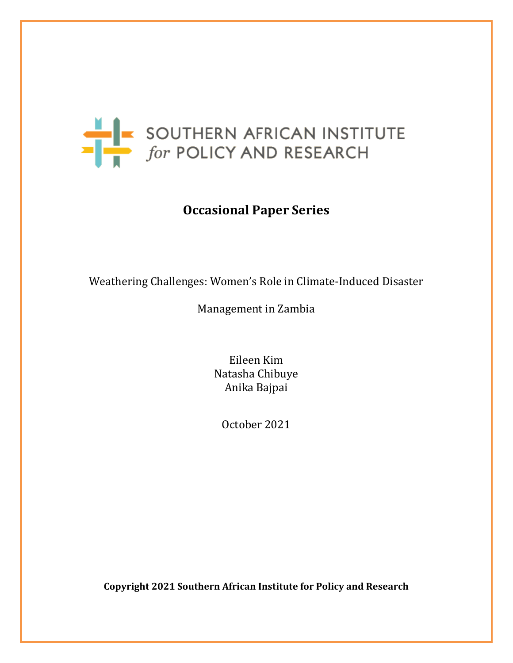

# **Occasional Paper Series**

Weathering Challenges: Women's Role in Climate-Induced Disaster

Management in Zambia

Eileen Kim Natasha Chibuye Anika Bajpai

October 2021

**Copyright 2021 Southern African Institute for Policy and Research**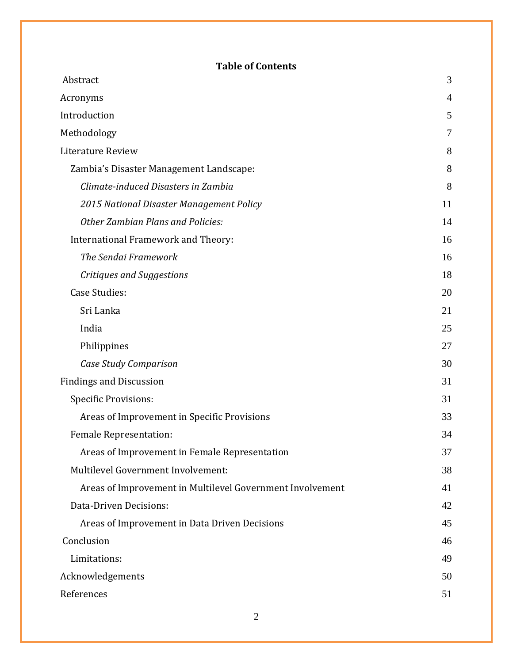# **Table of Contents**

| Abstract                                                  | 3  |
|-----------------------------------------------------------|----|
| Acronyms                                                  | 4  |
| Introduction                                              | 5  |
| Methodology                                               | 7  |
| Literature Review                                         | 8  |
| Zambia's Disaster Management Landscape:                   | 8  |
| Climate-induced Disasters in Zambia                       | 8  |
| 2015 National Disaster Management Policy                  | 11 |
| <b>Other Zambian Plans and Policies:</b>                  | 14 |
| International Framework and Theory:                       | 16 |
| The Sendai Framework                                      | 16 |
| Critiques and Suggestions                                 | 18 |
| <b>Case Studies:</b>                                      | 20 |
| Sri Lanka                                                 | 21 |
| India                                                     | 25 |
| Philippines                                               | 27 |
| Case Study Comparison                                     | 30 |
| <b>Findings and Discussion</b>                            | 31 |
| <b>Specific Provisions:</b>                               | 31 |
| Areas of Improvement in Specific Provisions               | 33 |
| <b>Female Representation:</b>                             | 34 |
| Areas of Improvement in Female Representation             | 37 |
| Multilevel Government Involvement:                        | 38 |
| Areas of Improvement in Multilevel Government Involvement | 41 |
| Data-Driven Decisions:                                    | 42 |
| Areas of Improvement in Data Driven Decisions             | 45 |
| Conclusion                                                | 46 |
| Limitations:                                              | 49 |
| Acknowledgements                                          | 50 |
| References                                                | 51 |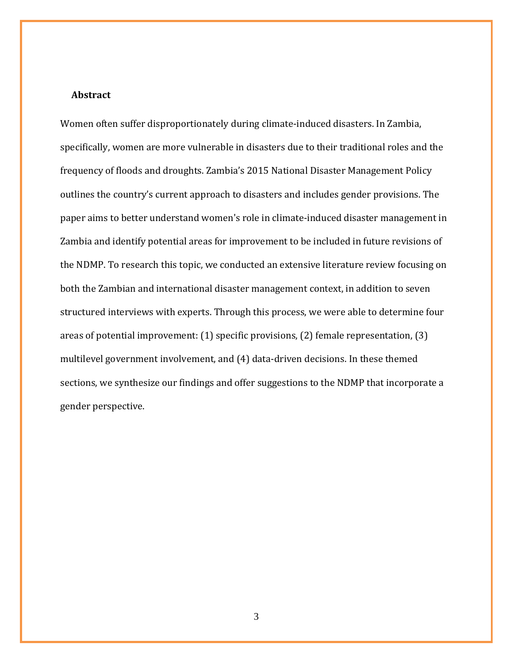#### <span id="page-2-0"></span> **Abstract**

Women often suffer disproportionately during climate-induced disasters. In Zambia, specifically, women are more vulnerable in disasters due to their traditional roles and the frequency of floods and droughts. Zambia's 2015 National Disaster Management Policy outlines the country's current approach to disasters and includes gender provisions. The paper aims to better understand women's role in climate-induced disaster management in Zambia and identify potential areas for improvement to be included in future revisions of the NDMP. To research this topic, we conducted an extensive literature review focusing on both the Zambian and international disaster management context, in addition to seven structured interviews with experts. Through this process, we were able to determine four areas of potential improvement: (1) specific provisions, (2) female representation, (3) multilevel government involvement, and (4) data-driven decisions. In these themed sections, we synthesize our findings and offer suggestions to the NDMP that incorporate a gender perspective.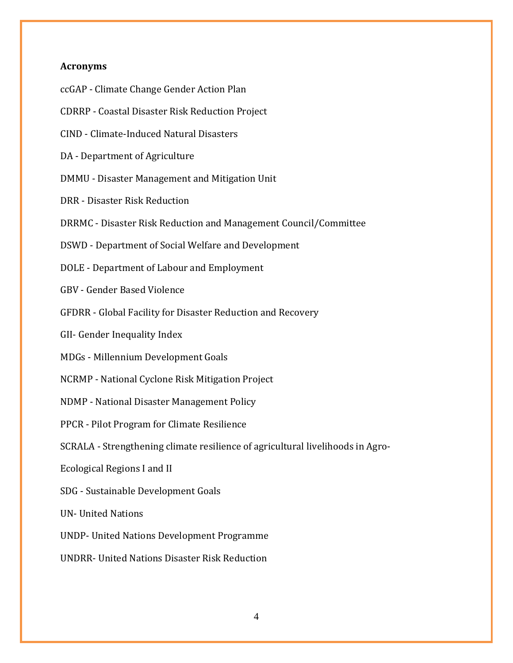## <span id="page-3-0"></span>**Acronyms**

ccGAP - Climate Change Gender Action Plan CDRRP - Coastal Disaster Risk Reduction Project CIND - Climate-Induced Natural Disasters DA - Department of Agriculture DMMU - Disaster Management and Mitigation Unit DRR - Disaster Risk Reduction DRRMC - Disaster Risk Reduction and Management Council/Committee DSWD - Department of Social Welfare and Development DOLE - Department of Labour and Employment GBV - Gender Based Violence GFDRR - Global Facility for Disaster Reduction and Recovery GII- Gender Inequality Index MDGs - Millennium Development Goals NCRMP - National Cyclone Risk Mitigation Project NDMP - National Disaster Management Policy PPCR - Pilot Program for Climate Resilience SCRALA - Strengthening climate resilience of agricultural livelihoods in Agro-Ecological Regions I and II SDG - Sustainable Development Goals UN- United Nations UNDP- United Nations Development Programme UNDRR- United Nations Disaster Risk Reduction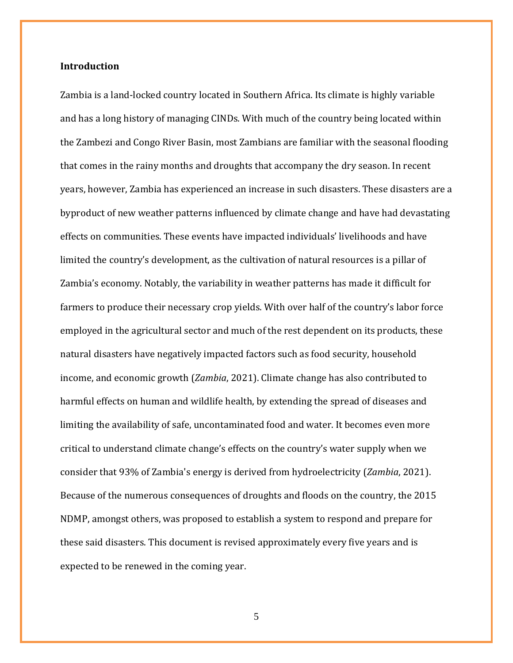# <span id="page-4-0"></span>**Introduction**

Zambia is a land-locked country located in Southern Africa. Its climate is highly variable and has a long history of managing CINDs. With much of the country being located within the Zambezi and Congo River Basin, most Zambians are familiar with the seasonal flooding that comes in the rainy months and droughts that accompany the dry season. In recent years, however, Zambia has experienced an increase in such disasters. These disasters are a byproduct of new weather patterns influenced by climate change and have had devastating effects on communities. These events have impacted individuals' livelihoods and have limited the country's development, as the cultivation of natural resources is a pillar of Zambia's economy. Notably, the variability in weather patterns has made it difficult for farmers to produce their necessary crop yields. With over half of the country's labor force employed in the agricultural sector and much of the rest dependent on its products, these natural disasters have negatively impacted factors such as food security, household income, and economic growth (*Zambia*, 2021). Climate change has also contributed to harmful effects on human and wildlife health, by extending the spread of diseases and limiting the availability of safe, uncontaminated food and water. It becomes even more critical to understand climate change's effects on the country's water supply when we consider that 93% of Zambia's energy is derived from hydroelectricity (*Zambia*, 2021). Because of the numerous consequences of droughts and floods on the country, the 2015 NDMP, amongst others, was proposed to establish a system to respond and prepare for these said disasters. This document is revised approximately every five years and is expected to be renewed in the coming year.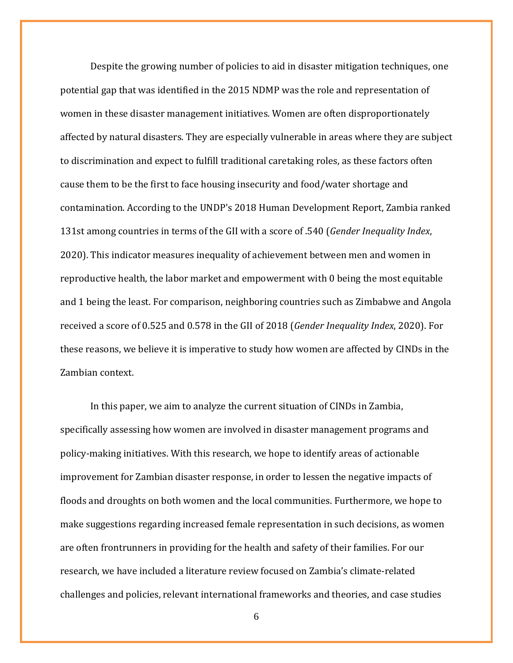Despite the growing number of policies to aid in disaster mitigation techniques, one potential gap that was identified in the 2015 NDMP was the role and representation of women in these disaster management initiatives. Women are often disproportionately affected by natural disasters. They are especially vulnerable in areas where they are subject to discrimination and expect to fulfill traditional caretaking roles, as these factors often cause them to be the first to face housing insecurity and food/water shortage and contamination. According to the UNDP's 2018 Human Development Report, Zambia ranked 131st among countries in terms of the GII with a score of .540 (*Gender Inequality Index*, 2020). This indicator measures inequality of achievement between men and women in reproductive health, the labor market and empowerment with 0 being the most equitable and 1 being the least. For comparison, neighboring countries such as Zimbabwe and Angola received a score of 0.525 and 0.578 in the GII of 2018 (*Gender Inequality Index*, 2020). For these reasons, we believe it is imperative to study how women are affected by CINDs in the Zambian context.

In this paper, we aim to analyze the current situation of CINDs in Zambia, specifically assessing how women are involved in disaster management programs and policy-making initiatives. With this research, we hope to identify areas of actionable improvement for Zambian disaster response, in order to lessen the negative impacts of floods and droughts on both women and the local communities. Furthermore, we hope to make suggestions regarding increased female representation in such decisions, as women are often frontrunners in providing for the health and safety of their families. For our research, we have included a literature review focused on Zambia's climate-related challenges and policies, relevant international frameworks and theories, and case studies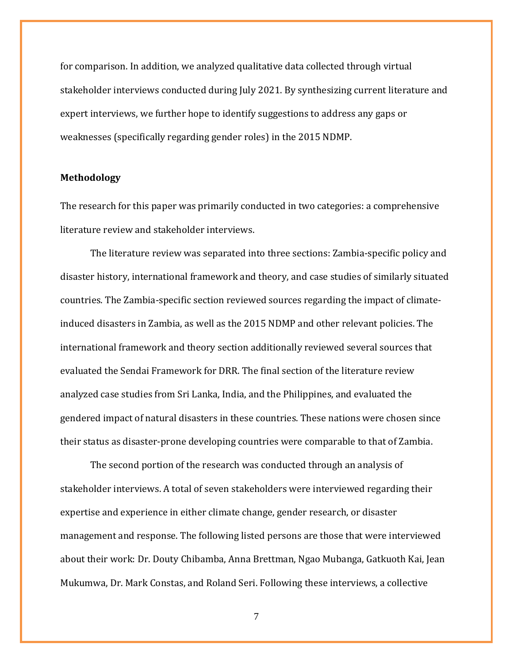for comparison. In addition, we analyzed qualitative data collected through virtual stakeholder interviews conducted during July 2021. By synthesizing current literature and expert interviews, we further hope to identify suggestions to address any gaps or weaknesses (specifically regarding gender roles) in the 2015 NDMP.

#### <span id="page-6-0"></span>**Methodology**

The research for this paper was primarily conducted in two categories: a comprehensive literature review and stakeholder interviews.

The literature review was separated into three sections: Zambia-specific policy and disaster history, international framework and theory, and case studies of similarly situated countries. The Zambia-specific section reviewed sources regarding the impact of climateinduced disasters in Zambia, as well as the 2015 NDMP and other relevant policies. The international framework and theory section additionally reviewed several sources that evaluated the Sendai Framework for DRR. The final section of the literature review analyzed case studies from Sri Lanka, India, and the Philippines, and evaluated the gendered impact of natural disasters in these countries. These nations were chosen since their status as disaster-prone developing countries were comparable to that of Zambia.

The second portion of the research was conducted through an analysis of stakeholder interviews. A total of seven stakeholders were interviewed regarding their expertise and experience in either climate change, gender research, or disaster management and response. The following listed persons are those that were interviewed about their work: Dr. Douty Chibamba, Anna Brettman, Ngao Mubanga, Gatkuoth Kai, Jean Mukumwa, Dr. Mark Constas, and Roland Seri. Following these interviews, a collective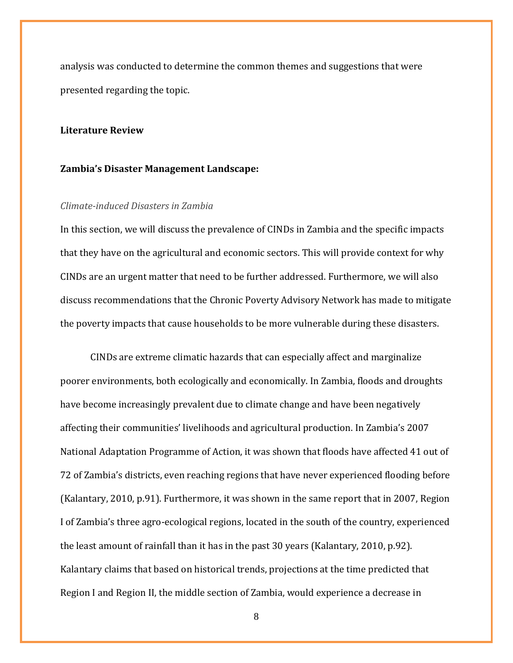analysis was conducted to determine the common themes and suggestions that were presented regarding the topic.

## <span id="page-7-0"></span>**Literature Review**

#### <span id="page-7-1"></span>**Zambia's Disaster Management Landscape:**

### <span id="page-7-2"></span>*Climate-induced Disasters in Zambia*

In this section, we will discuss the prevalence of CINDs in Zambia and the specific impacts that they have on the agricultural and economic sectors. This will provide context for why CINDs are an urgent matter that need to be further addressed. Furthermore, we will also discuss recommendations that the Chronic Poverty Advisory Network has made to mitigate the poverty impacts that cause households to be more vulnerable during these disasters.

CINDs are extreme climatic hazards that can especially affect and marginalize poorer environments, both ecologically and economically. In Zambia, floods and droughts have become increasingly prevalent due to climate change and have been negatively affecting their communities' livelihoods and agricultural production. In Zambia's 2007 National Adaptation Programme of Action, it was shown that floods have affected 41 out of 72 of Zambia's districts, even reaching regions that have never experienced flooding before [\(Kalantary, 2010,](https://www.zotero.org/google-docs/?79K81u) p.91). Furthermore, it was shown in the same report that in 2007, Region I of Zambia's three agro-ecological regions, located in the south of the country, experienced the least amount of rainfall than it has in the past 30 years (Kalantary, 2010, p.92). Kalantary claims that based on historical trends, projections at the time predicted that Region I and Region II, the middle section of Zambia, would experience a decrease in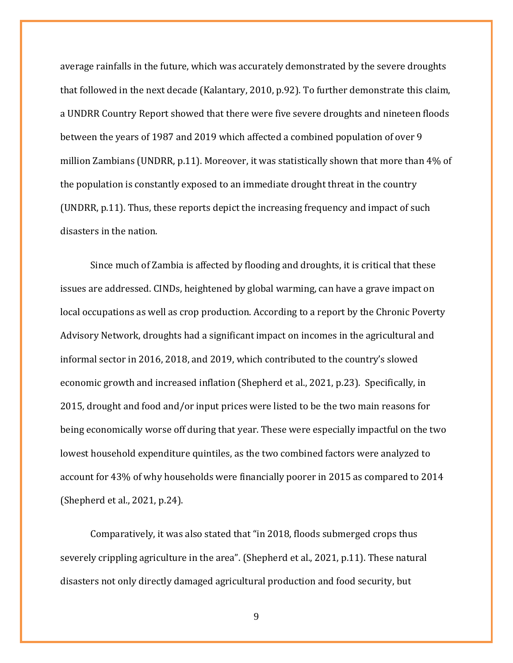average rainfalls in the future, which was accurately demonstrated by the severe droughts that followed in the next decade (Kalantary, 2010, p.92). To further demonstrate this claim, a UNDRR Country Report showed that there were five severe droughts and nineteen floods between the years of 1987 and 2019 which affected a combined population of over 9 million Zambians (UNDRR, p.11). Moreover, it was statistically shown that more than 4% of the population is constantly exposed to an immediate drought threat in the country (UNDRR, p.11). Thus, these reports depict the increasing frequency and impact of such disasters in the nation.

Since much of Zambia is affected by flooding and droughts, it is critical that these issues are addressed. CINDs, heightened by global warming, can have a grave impact on local occupations as well as crop production. According to a report by the Chronic Poverty Advisory Network, droughts had a significant impact on incomes in the agricultural and informal sector in 2016, 2018, and 2019, which contributed to the country's slowed economic growth and increased inflation (Shepherd et al., 2021, p.23). Specifically, in 2015, drought and food and/or input prices were listed to be the two main reasons for being economically worse off during that year. These were especially impactful on the two lowest household expenditure quintiles, as the two combined factors were analyzed to account for 43% of why households were financially poorer in 2015 as compared to 2014 (Shepherd et al., 2021, p.24).

Comparatively, it was also stated that "in 2018, floods submerged crops thus severely crippling agriculture in the area". (Shepherd et al., 2021, p.11). These natural disasters not only directly damaged agricultural production and food security, but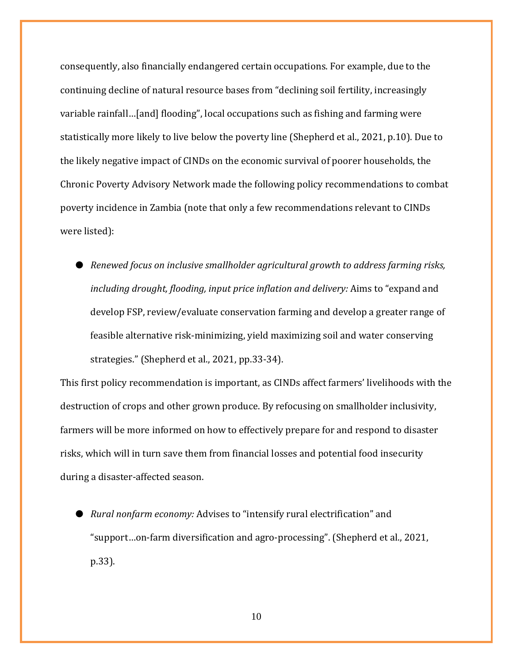consequently, also financially endangered certain occupations. For example, due to the continuing decline of natural resource bases from "declining soil fertility, increasingly variable rainfall…[and] flooding", local occupations such as fishing and farming were statistically more likely to live below the poverty line (Shepherd et al., 2021, p.10). Due to the likely negative impact of CINDs on the economic survival of poorer households, the Chronic Poverty Advisory Network made the following policy recommendations to combat poverty incidence in Zambia (note that only a few recommendations relevant to CINDs were listed):

● *Renewed focus on inclusive smallholder agricultural growth to address farming risks, including drought, flooding, input price inflation and delivery:* Aims to "expand and develop FSP, review/evaluate conservation farming and develop a greater range of feasible alternative risk-minimizing, yield maximizing soil and water conserving strategies." (Shepherd et al., 2021, pp.33-34).

This first policy recommendation is important, as CINDs affect farmers' livelihoods with the destruction of crops and other grown produce. By refocusing on smallholder inclusivity, farmers will be more informed on how to effectively prepare for and respond to disaster risks, which will in turn save them from financial losses and potential food insecurity during a disaster-affected season.

● *Rural nonfarm economy:* Advises to "intensify rural electrification" and "support…on-farm diversification and agro-processing". (Shepherd et al., 2021, p.33).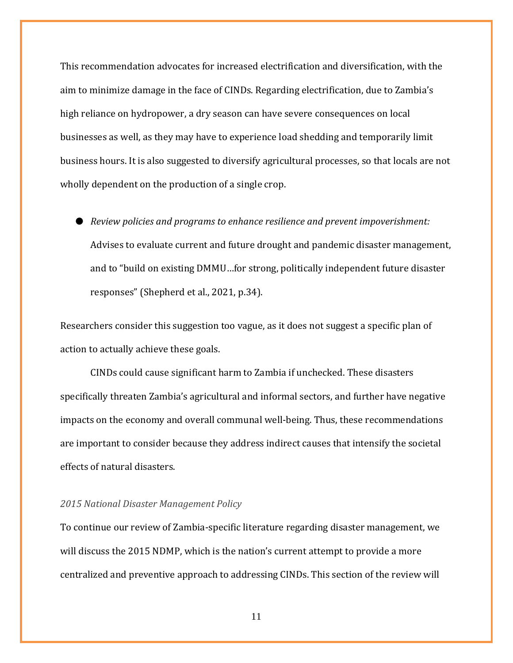This recommendation advocates for increased electrification and diversification, with the aim to minimize damage in the face of CINDs. Regarding electrification, due to Zambia's high reliance on hydropower, a dry season can have severe consequences on local businesses as well, as they may have to experience load shedding and temporarily limit business hours. It is also suggested to diversify agricultural processes, so that locals are not wholly dependent on the production of a single crop.

● *Review policies and programs to enhance resilience and prevent impoverishment:*  Advises to evaluate current and future drought and pandemic disaster management, and to "build on existing DMMU…for strong, politically independent future disaster responses" (Shepherd et al., 2021, p.34).

Researchers consider this suggestion too vague, as it does not suggest a specific plan of action to actually achieve these goals.

CINDs could cause significant harm to Zambia if unchecked. These disasters specifically threaten Zambia's agricultural and informal sectors, and further have negative impacts on the economy and overall communal well-being. Thus, these recommendations are important to consider because they address indirect causes that intensify the societal effects of natural disasters.

## <span id="page-10-0"></span>*2015 National Disaster Management Policy*

To continue our review of Zambia-specific literature regarding disaster management, we will discuss the 2015 NDMP, which is the nation's current attempt to provide a more centralized and preventive approach to addressing CINDs. This section of the review will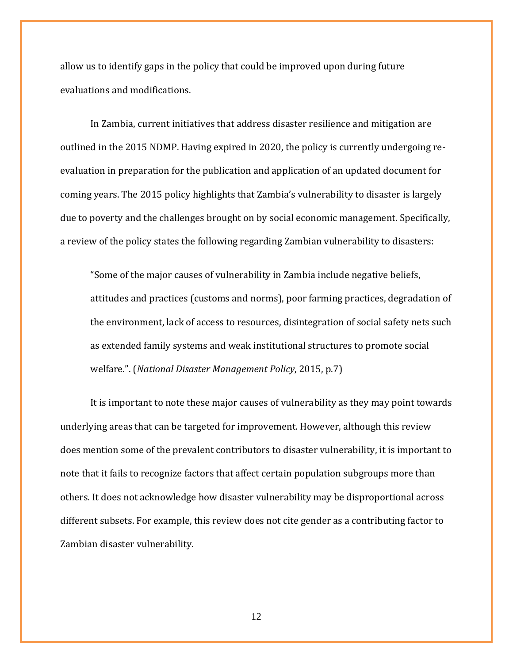allow us to identify gaps in the policy that could be improved upon during future evaluations and modifications.

In Zambia, current initiatives that address disaster resilience and mitigation are outlined in the 2015 NDMP. Having expired in 2020, the policy is currently undergoing reevaluation in preparation for the publication and application of an updated document for coming years. The 2015 policy highlights that Zambia's vulnerability to disaster is largely due to poverty and the challenges brought on by social economic management. Specifically, a review of the policy states the following regarding Zambian vulnerability to disasters:

"Some of the major causes of vulnerability in Zambia include negative beliefs, attitudes and practices (customs and norms), poor farming practices, degradation of the environment, lack of access to resources, disintegration of social safety nets such as extended family systems and weak institutional structures to promote social welfare.". (*[National Disaster Management Policy](https://www.zotero.org/google-docs/?yzpXaf)*[, 2015,](https://www.zotero.org/google-docs/?yzpXaf) p.7)

It is important to note these major causes of vulnerability as they may point towards underlying areas that can be targeted for improvement. However, although this review does mention some of the prevalent contributors to disaster vulnerability, it is important to note that it fails to recognize factors that affect certain population subgroups more than others. It does not acknowledge how disaster vulnerability may be disproportional across different subsets. For example, this review does not cite gender as a contributing factor to Zambian disaster vulnerability.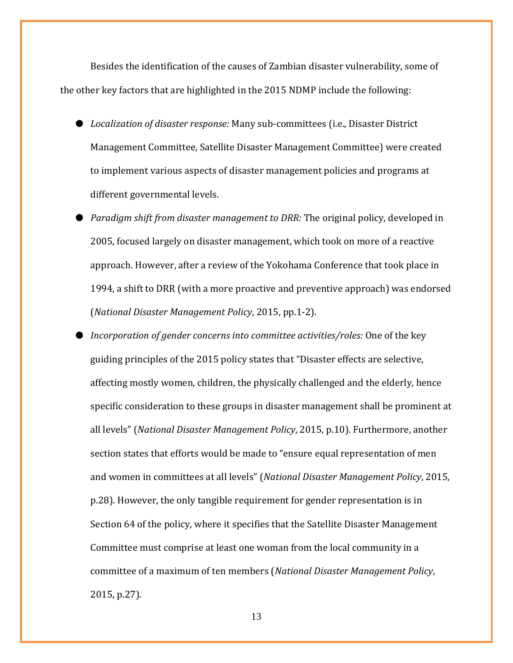Besides the identification of the causes of Zambian disaster vulnerability, some of the other key factors that are highlighted in the 2015 NDMP include the following:

- *Localization of disaster response:* Many sub-committees (i.e., Disaster District Management Committee, Satellite Disaster Management Committee) were created to implement various aspects of disaster management policies and programs at different governmental levels.
- *Paradigm shift from disaster management to DRR:* The original policy, developed in 2005, focused largely on disaster management, which took on more of a reactive approach. However, after a review of the Yokohama Conference that took place in 1994, a shift to DRR (with a more proactive and preventive approach) was endorsed (*[National Disaster Management Policy](https://www.zotero.org/google-docs/?D9hVgs)*[, 2015,](https://www.zotero.org/google-docs/?D9hVgs) pp.1-2).
- *Incorporation of gender concerns into committee activities/roles:* One of the key guiding principles of the 2015 policy states that "Disaster effects are selective, affecting mostly women, children, the physically challenged and the elderly, hence specific consideration to these groups in disaster management shall be prominent at all levels" (*[National Disaster Management Policy](https://www.zotero.org/google-docs/?c1bU43)*[, 2015,](https://www.zotero.org/google-docs/?c1bU43) p.10). Furthermore, another section states that efforts would be made to "ensure equal representation of men and women in committees at all levels" (*[National Disaster Management Policy](https://www.zotero.org/google-docs/?R4eYPI)*[, 2015,](https://www.zotero.org/google-docs/?R4eYPI) p.28). However, the only tangible requirement for gender representation is in Section 64 of the policy, where it specifies that the Satellite Disaster Management Committee must comprise at least one woman from the local community in a committee of a maximum of ten members (*National Disaster Management Policy*, 2015, p.27).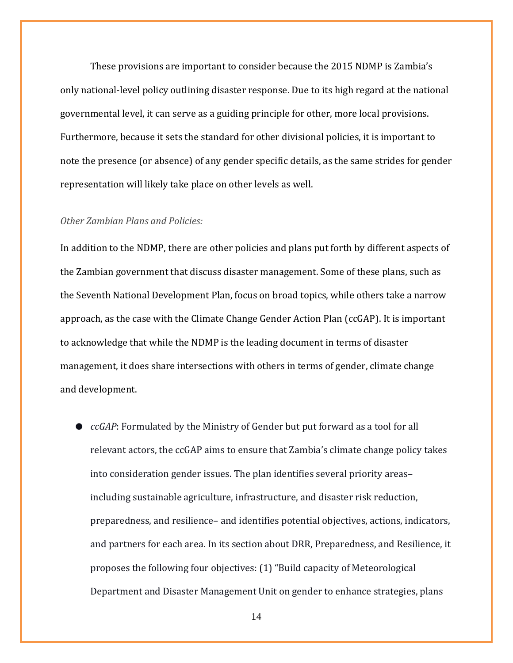These provisions are important to consider because the 2015 NDMP is Zambia's only national-level policy outlining disaster response. Due to its high regard at the national governmental level, it can serve as a guiding principle for other, more local provisions. Furthermore, because it sets the standard for other divisional policies, it is important to note the presence (or absence) of any gender specific details, as the same strides for gender representation will likely take place on other levels as well.

# <span id="page-13-0"></span>*Other Zambian Plans and Policies:*

In addition to the NDMP, there are other policies and plans put forth by different aspects of the Zambian government that discuss disaster management. Some of these plans, such as the Seventh National Development Plan, focus on broad topics, while others take a narrow approach, as the case with the Climate Change Gender Action Plan (ccGAP). It is important to acknowledge that while the NDMP is the leading document in terms of disaster management, it does share intersections with others in terms of gender, climate change and development.

● *ccGAP*: Formulated by the Ministry of Gender but put forward as a tool for all relevant actors, the ccGAP aims to ensure that Zambia's climate change policy takes into consideration gender issues. The plan identifies several priority areas– including sustainable agriculture, infrastructure, and disaster risk reduction, preparedness, and resilience– and identifies potential objectives, actions, indicators, and partners for each area. In its section about DRR, Preparedness, and Resilience, it proposes the following four objectives: (1) "Build capacity of Meteorological Department and Disaster Management Unit on gender to enhance strategies, plans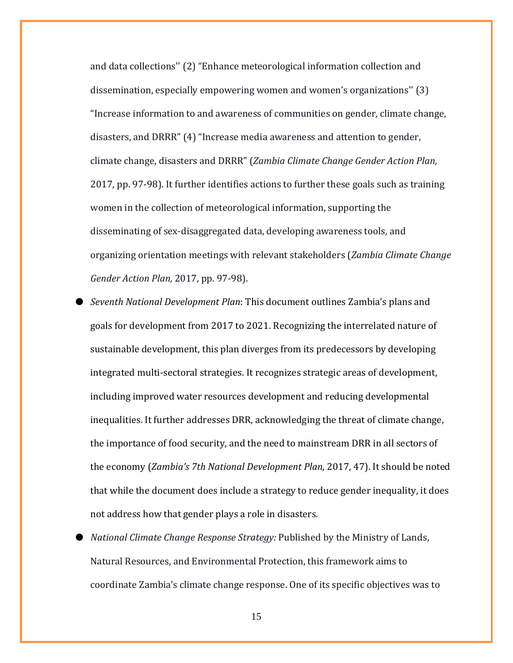and data collections'' (2) "Enhance meteorological information collection and dissemination, especially empowering women and women's organizations'' (3) "Increase information to and awareness of communities on gender, climate change, disasters, and DRRR" (4) "Increase media awareness and attention to gender, climate change, disasters and DRRR" (*Zambia Climate Change Gender Action Plan,* 2017, pp. 97-98). It further identifies actions to further these goals such as training women in the collection of meteorological information, supporting the disseminating of sex-disaggregated data, developing awareness tools, and organizing orientation meetings with relevant stakeholders (*Zambia Climate Change Gender Action Plan,* 2017, pp. 97-98).

- *Seventh National Development Plan*: This document outlines Zambia's plans and goals for development from 2017 to 2021. Recognizing the interrelated nature of sustainable development, this plan diverges from its predecessors by developing integrated multi-sectoral strategies. It recognizes strategic areas of development, including improved water resources development and reducing developmental inequalities. It further addresses DRR, acknowledging the threat of climate change, the importance of food security, and the need to mainstream DRR in all sectors of the economy (*Zambia's 7th National Development Plan*, 2017, 47). It should be noted that while the document does include a strategy to reduce gender inequality, it does not address how that gender plays a role in disasters.
- *National Climate Change Response Strategy:* Published by the Ministry of Lands, Natural Resources, and Environmental Protection, this framework aims to coordinate Zambia's climate change response. One of its specific objectives was to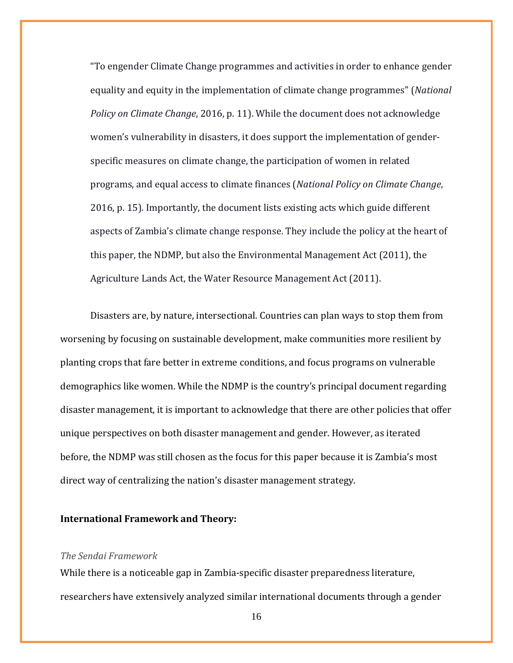"To engender Climate Change programmes and activities in order to enhance gender equality and equity in the implementation of climate change programmes" (*National Policy on Climate Change*, 2016, p. 11). While the document does not acknowledge women's vulnerability in disasters, it does support the implementation of genderspecific measures on climate change, the participation of women in related programs, and equal access to climate finances (*National Policy on Climate Change*, 2016, p. 15). Importantly, the document lists existing acts which guide different aspects of Zambia's climate change response. They include the policy at the heart of this paper, the NDMP, but also the Environmental Management Act (2011), the Agriculture Lands Act, the Water Resource Management Act (2011).

Disasters are, by nature, intersectional. Countries can plan ways to stop them from worsening by focusing on sustainable development, make communities more resilient by planting crops that fare better in extreme conditions, and focus programs on vulnerable demographics like women. While the NDMP is the country's principal document regarding disaster management, it is important to acknowledge that there are other policies that offer unique perspectives on both disaster management and gender. However, as iterated before, the NDMP was still chosen as the focus for this paper because it is Zambia's most direct way of centralizing the nation's disaster management strategy.

#### <span id="page-15-0"></span>**International Framework and Theory:**

#### <span id="page-15-1"></span>*The Sendai Framework*

While there is a noticeable gap in Zambia-specific disaster preparedness literature, researchers have extensively analyzed similar international documents through a gender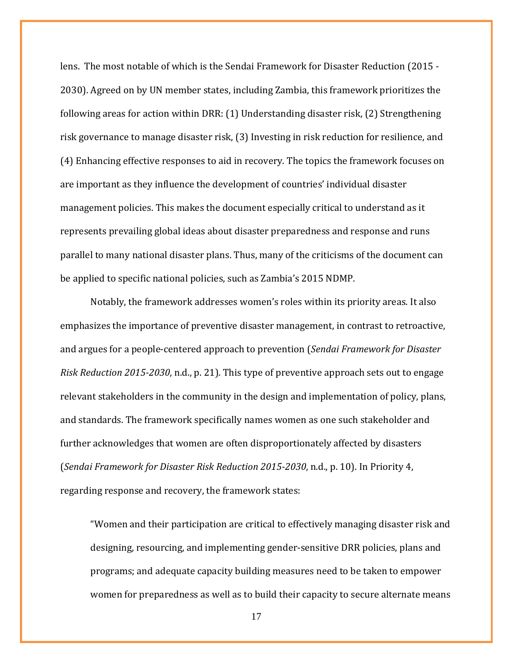lens. The most notable of which is the Sendai Framework for Disaster Reduction (2015 - 2030). Agreed on by UN member states, including Zambia, this framework prioritizes the following areas for action within DRR: (1) Understanding disaster risk, (2) Strengthening risk governance to manage disaster risk, (3) Investing in risk reduction for resilience, and (4) Enhancing effective responses to aid in recovery. The topics the framework focuses on are important as they influence the development of countries' individual disaster management policies. This makes the document especially critical to understand as it represents prevailing global ideas about disaster preparedness and response and runs parallel to many national disaster plans. Thus, many of the criticisms of the document can be applied to specific national policies, such as Zambia's 2015 NDMP.

Notably, the framework addresses women's roles within its priority areas. It also emphasizes the importance of preventive disaster management, in contrast to retroactive, and argues for a people-centered approach to prevention (*Sendai Framework for Disaster Risk Reduction 2015-2030*, n.d., p. 21). This type of preventive approach sets out to engage relevant stakeholders in the community in the design and implementation of policy, plans, and standards. The framework specifically names women as one such stakeholder and further acknowledges that women are often disproportionately affected by disasters (*Sendai Framework for Disaster Risk Reduction 2015-2030*, n.d., p. 10). In Priority 4, regarding response and recovery, the framework states:

"Women and their participation are critical to effectively managing disaster risk and designing, resourcing, and implementing gender-sensitive DRR policies, plans and programs; and adequate capacity building measures need to be taken to empower women for preparedness as well as to build their capacity to secure alternate means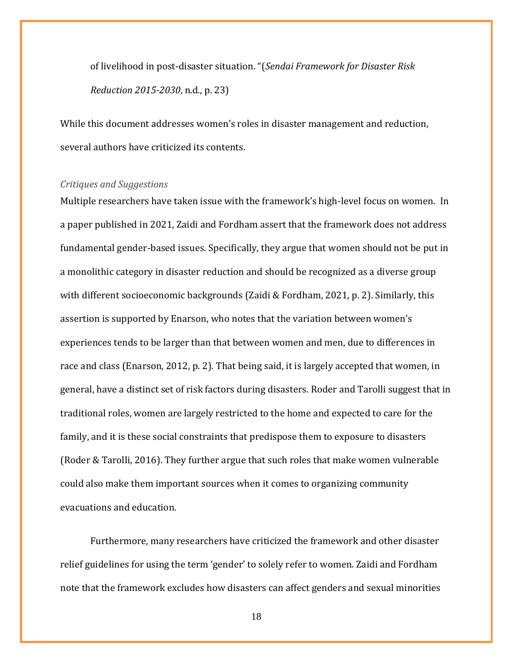of livelihood in post-disaster situation. "(*Sendai Framework for Disaster Risk Reduction 2015-2030*, n.d., p. 23)

While this document addresses women's roles in disaster management and reduction, several authors have criticized its contents.

#### <span id="page-17-0"></span>*Critiques and Suggestions*

Multiple researchers have taken issue with the framework's high-level focus on women. In a paper published in 2021, Zaidi and Fordham assert that the framework does not address fundamental gender-based issues. Specifically, they argue that women should not be put in a monolithic category in disaster reduction and should be recognized as a diverse group with different socioeconomic backgrounds (Zaidi & Fordham, 2021, p. 2). Similarly, this assertion is supported by Enarson, who notes that the variation between women's experiences tends to be larger than that between women and men, due to differences in race and class (Enarson, 2012, p. 2). That being said, it is largely accepted that women, in general, have a distinct set of risk factors during disasters. Roder and Tarolli suggest that in traditional roles, women are largely restricted to the home and expected to care for the family, and it is these social constraints that predispose them to exposure to disasters (Roder & Tarolli, 2016). They further argue that such roles that make women vulnerable could also make them important sources when it comes to organizing community evacuations and education.

Furthermore, many researchers have criticized the framework and other disaster relief guidelines for using the term 'gender' to solely refer to women. Zaidi and Fordham note that the framework excludes how disasters can affect genders and sexual minorities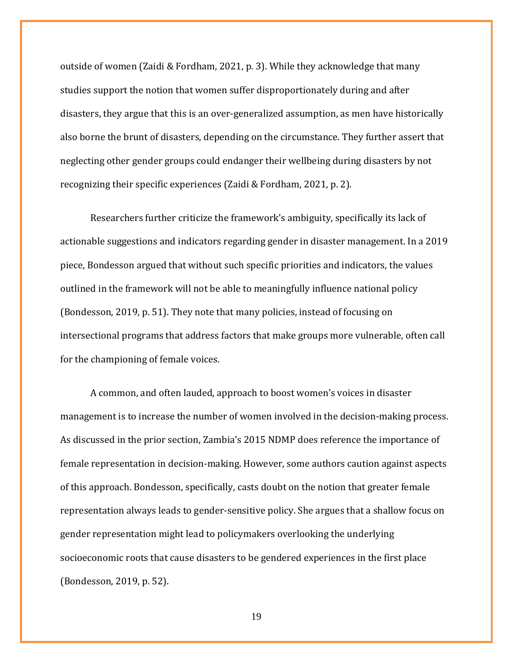outside of women (Zaidi & Fordham, 2021, p. 3). While they acknowledge that many studies support the notion that women suffer disproportionately during and after disasters, they argue that this is an over-generalized assumption, as men have historically also borne the brunt of disasters, depending on the circumstance. They further assert that neglecting other gender groups could endanger their wellbeing during disasters by not recognizing their specific experiences (Zaidi & Fordham, 2021, p. 2).

Researchers further criticize the framework's ambiguity, specifically its lack of actionable suggestions and indicators regarding gender in disaster management. In a 2019 piece, Bondesson argued that without such specific priorities and indicators, the values outlined in the framework will not be able to meaningfully influence national policy (Bondesson, 2019, p. 51). They note that many policies, instead of focusing on intersectional programs that address factors that make groups more vulnerable, often call for the championing of female voices.

A common, and often lauded, approach to boost women's voices in disaster management is to increase the number of women involved in the decision-making process. As discussed in the prior section, Zambia's 2015 NDMP does reference the importance of female representation in decision-making. However, some authors caution against aspects of this approach. Bondesson, specifically, casts doubt on the notion that greater female representation always leads to gender-sensitive policy. She argues that a shallow focus on gender representation might lead to policymakers overlooking the underlying socioeconomic roots that cause disasters to be gendered experiences in the first place (Bondesson, 2019, p. 52).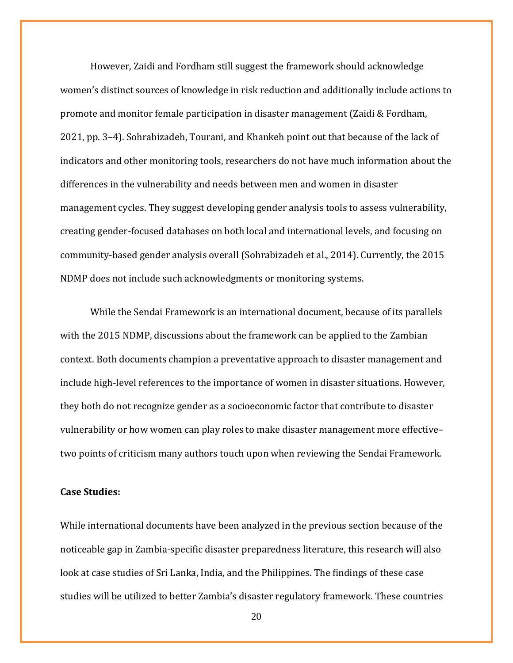However, Zaidi and Fordham still suggest the framework should acknowledge women's distinct sources of knowledge in risk reduction and additionally include actions to promote and monitor female participation in disaster management (Zaidi & Fordham, 2021, pp. 3–4). Sohrabizadeh, Tourani, and Khankeh point out that because of the lack of indicators and other monitoring tools, researchers do not have much information about the differences in the vulnerability and needs between men and women in disaster management cycles. They suggest developing gender analysis tools to assess vulnerability, creating gender-focused databases on both local and international levels, and focusing on community-based gender analysis overall (Sohrabizadeh et al., 2014). Currently, the 2015 NDMP does not include such acknowledgments or monitoring systems.

While the Sendai Framework is an international document, because of its parallels with the 2015 NDMP, discussions about the framework can be applied to the Zambian context. Both documents champion a preventative approach to disaster management and include high-level references to the importance of women in disaster situations. However, they both do not recognize gender as a socioeconomic factor that contribute to disaster vulnerability or how women can play roles to make disaster management more effective– two points of criticism many authors touch upon when reviewing the Sendai Framework.

## <span id="page-19-0"></span>**Case Studies:**

While international documents have been analyzed in the previous section because of the noticeable gap in Zambia-specific disaster preparedness literature, this research will also look at case studies of Sri Lanka, India, and the Philippines. The findings of these case studies will be utilized to better Zambia's disaster regulatory framework. These countries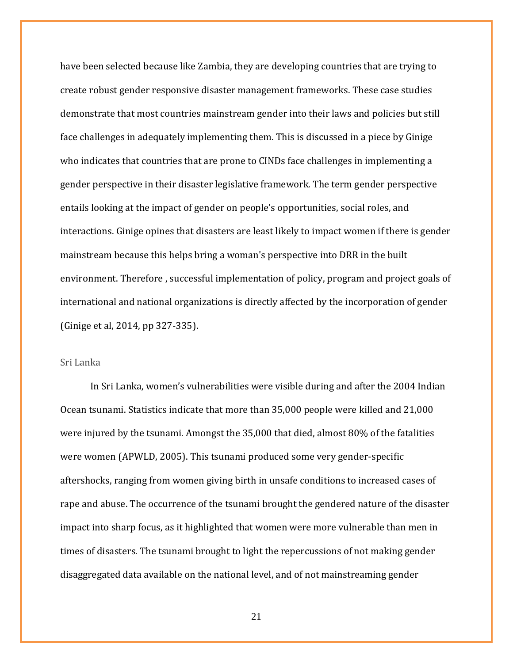have been selected because like Zambia, they are developing countries that are trying to create robust gender responsive disaster management frameworks. These case studies demonstrate that most countries mainstream gender into their laws and policies but still face challenges in adequately implementing them. This is discussed in a piece by Ginige who indicates that countries that are prone to CINDs face challenges in implementing a gender perspective in their disaster legislative framework. The term gender perspective entails looking at the impact of gender on people's opportunities, social roles, and interactions. Ginige opines that disasters are least likely to impact women if there is gender mainstream because this helps bring a woman's perspective into DRR in the built environment. Therefore , successful implementation of policy, program and project goals of international and national organizations is directly affected by the incorporation of gender (Ginige et al, 2014, pp 327-335).

### <span id="page-20-0"></span>Sri Lanka

In Sri Lanka, women's vulnerabilities were visible during and after the 2004 Indian Ocean tsunami. Statistics indicate that more than 35,000 people were killed and 21,000 were injured by the tsunami. Amongst the 35,000 that died, almost 80% of the fatalities were women (APWLD, 2005). This tsunami produced some very gender-specific aftershocks, ranging from women giving birth in unsafe conditions to increased cases of rape and abuse. The occurrence of the tsunami brought the gendered nature of the disaster impact into sharp focus, as it highlighted that women were more vulnerable than men in times of disasters. The tsunami brought to light the repercussions of not making gender disaggregated data available on the national level, and of not mainstreaming gender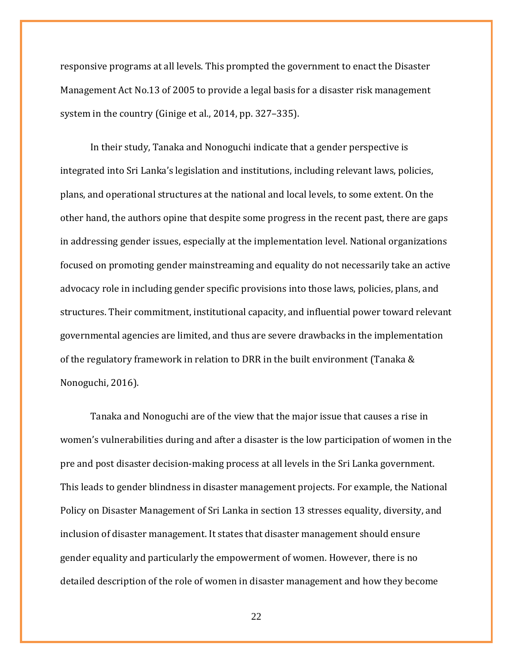responsive programs at all levels. This prompted the government to enact the Disaster Management Act No.13 of 2005 to provide a legal basis for a disaster risk management system in the country (Ginige et al., 2014, pp. 327–335).

In their study, Tanaka and Nonoguchi indicate that a gender perspective is integrated into Sri Lanka's legislation and institutions, including relevant laws, policies, plans, and operational structures at the national and local levels, to some extent. On the other hand, the authors opine that despite some progress in the recent past, there are gaps in addressing gender issues, especially at the implementation level. National organizations focused on promoting gender mainstreaming and equality do not necessarily take an active advocacy role in including gender specific provisions into those laws, policies, plans, and structures. Their commitment, institutional capacity, and influential power toward relevant governmental agencies are limited, and thus are severe drawbacks in the implementation of the regulatory framework in relation to DRR in the built environment (Tanaka & Nonoguchi, 2016).

Tanaka and Nonoguchi are of the view that the major issue that causes a rise in women's vulnerabilities during and after a disaster is the low participation of women in the pre and post disaster decision-making process at all levels in the Sri Lanka government. This leads to gender blindness in disaster management projects. For example, the National Policy on Disaster Management of Sri Lanka in section 13 stresses equality, diversity, and inclusion of disaster management. It states that disaster management should ensure gender equality and particularly the empowerment of women. However, there is no detailed description of the role of women in disaster management and how they become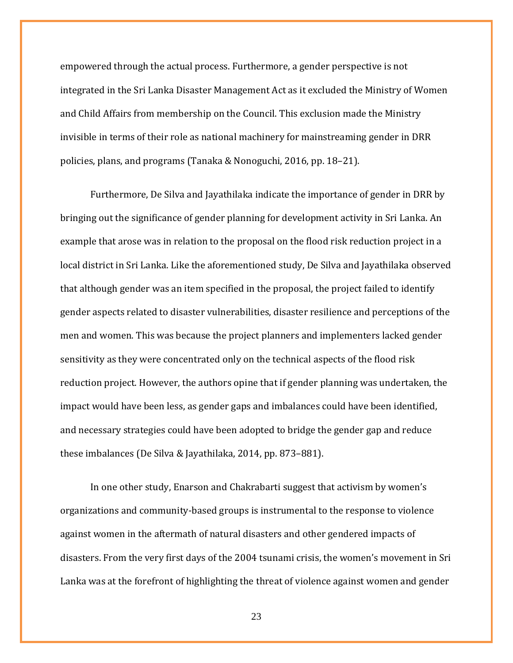empowered through the actual process. Furthermore, a gender perspective is not integrated in the Sri Lanka Disaster Management Act as it excluded the Ministry of Women and Child Affairs from membership on the Council. This exclusion made the Ministry invisible in terms of their role as national machinery for mainstreaming gender in DRR policies, plans, and programs (Tanaka & Nonoguchi, 2016, pp. 18–21).

Furthermore, De Silva and Jayathilaka indicate the importance of gender in DRR by bringing out the significance of gender planning for development activity in Sri Lanka. An example that arose was in relation to the proposal on the flood risk reduction project in a local district in Sri Lanka. Like the aforementioned study, De Silva and Jayathilaka observed that although gender was an item specified in the proposal, the project failed to identify gender aspects related to disaster vulnerabilities, disaster resilience and perceptions of the men and women. This was because the project planners and implementers lacked gender sensitivity as they were concentrated only on the technical aspects of the flood risk reduction project. However, the authors opine that if gender planning was undertaken, the impact would have been less, as gender gaps and imbalances could have been identified, and necessary strategies could have been adopted to bridge the gender gap and reduce these imbalances (De Silva & Jayathilaka, 2014, pp. 873–881).

In one other study, Enarson and Chakrabarti suggest that activism by women's organizations and community-based groups is instrumental to the response to violence against women in the aftermath of natural disasters and other gendered impacts of disasters. From the very first days of the 2004 tsunami crisis, the women's movement in Sri Lanka was at the forefront of highlighting the threat of violence against women and gender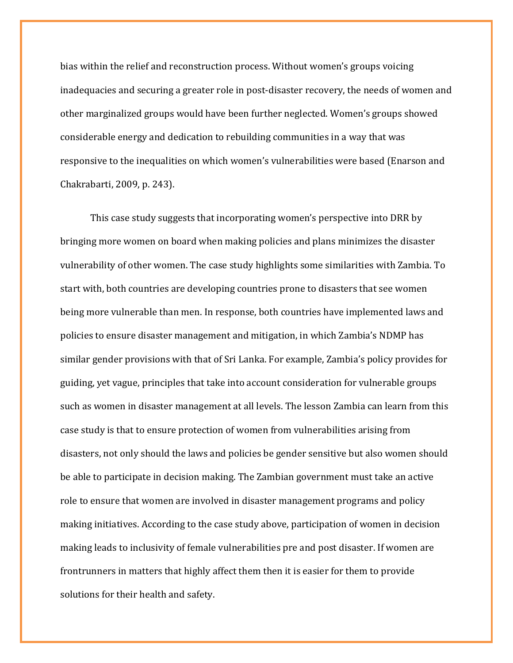bias within the relief and reconstruction process. Without women's groups voicing inadequacies and securing a greater role in post-disaster recovery, the needs of women and other marginalized groups would have been further neglected. Women's groups showed considerable energy and dedication to rebuilding communities in a way that was responsive to the inequalities on which women's vulnerabilities were based (Enarson and Chakrabarti, 2009, p. 243).

This case study suggests that incorporating women's perspective into DRR by bringing more women on board when making policies and plans minimizes the disaster vulnerability of other women. The case study highlights some similarities with Zambia. To start with, both countries are developing countries prone to disasters that see women being more vulnerable than men. In response, both countries have implemented laws and policies to ensure disaster management and mitigation, in which Zambia's NDMP has similar gender provisions with that of Sri Lanka. For example, Zambia's policy provides for guiding, yet vague, principles that take into account consideration for vulnerable groups such as women in disaster management at all levels. The lesson Zambia can learn from this case study is that to ensure protection of women from vulnerabilities arising from disasters, not only should the laws and policies be gender sensitive but also women should be able to participate in decision making. The Zambian government must take an active role to ensure that women are involved in disaster management programs and policy making initiatives. According to the case study above, participation of women in decision making leads to inclusivity of female vulnerabilities pre and post disaster. If women are frontrunners in matters that highly affect them then it is easier for them to provide solutions for their health and safety.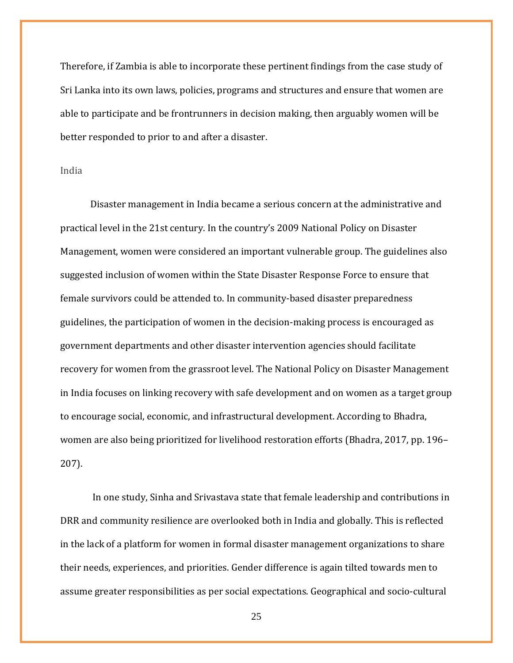Therefore, if Zambia is able to incorporate these pertinent findings from the case study of Sri Lanka into its own laws, policies, programs and structures and ensure that women are able to participate and be frontrunners in decision making, then arguably women will be better responded to prior to and after a disaster.

## <span id="page-24-0"></span>India

Disaster management in India became a serious concern at the administrative and practical level in the 21st century. In the country's 2009 National Policy on Disaster Management, women were considered an important vulnerable group. The guidelines also suggested inclusion of women within the State Disaster Response Force to ensure that female survivors could be attended to. In community-based disaster preparedness guidelines, the participation of women in the decision-making process is encouraged as government departments and other disaster intervention agencies should facilitate recovery for women from the grassroot level. The National Policy on Disaster Management in India focuses on linking recovery with safe development and on women as a target group to encourage social, economic, and infrastructural development. According to Bhadra, women are also being prioritized for livelihood restoration efforts (Bhadra, 2017, pp. 196– 207).

In one study, Sinha and Srivastava state that female leadership and contributions in DRR and community resilience are overlooked both in India and globally. This is reflected in the lack of a platform for women in formal disaster management organizations to share their needs, experiences, and priorities. Gender difference is again tilted towards men to assume greater responsibilities as per social expectations. Geographical and socio-cultural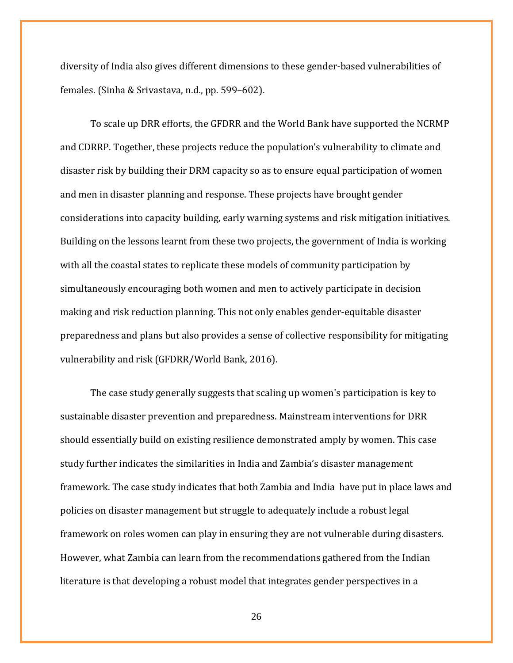diversity of India also gives different dimensions to these gender-based vulnerabilities of females. (Sinha & Srivastava, n.d., pp. 599–602).

To scale up DRR efforts, the GFDRR and the World Bank have supported the NCRMP and CDRRP. Together, these projects reduce the population's vulnerability to climate and disaster risk by building their DRM capacity so as to ensure equal participation of women and men in disaster planning and response. These projects have brought gender considerations into capacity building, early warning systems and risk mitigation initiatives. Building on the lessons learnt from these two projects, the government of India is working with all the coastal states to replicate these models of community participation by simultaneously encouraging both women and men to actively participate in decision making and risk reduction planning. This not only enables gender-equitable disaster preparedness and plans but also provides a sense of collective responsibility for mitigating vulnerability and risk (GFDRR/World Bank, 2016).

The case study generally suggests that scaling up women's participation is key to sustainable disaster prevention and preparedness. Mainstream interventions for DRR should essentially build on existing resilience demonstrated amply by women. This case study further indicates the similarities in India and Zambia's disaster management framework. The case study indicates that both Zambia and India have put in place laws and policies on disaster management but struggle to adequately include a robust legal framework on roles women can play in ensuring they are not vulnerable during disasters. However, what Zambia can learn from the recommendations gathered from the Indian literature is that developing a robust model that integrates gender perspectives in a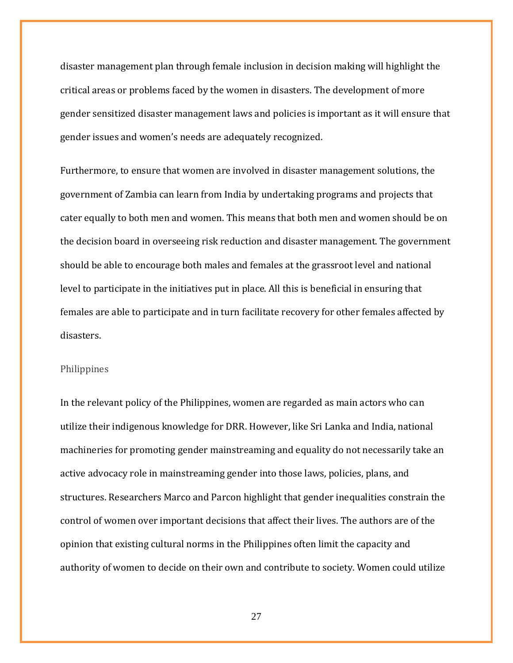disaster management plan through female inclusion in decision making will highlight the critical areas or problems faced by the women in disasters. The development of more gender sensitized disaster management laws and policies is important as it will ensure that gender issues and women's needs are adequately recognized.

Furthermore, to ensure that women are involved in disaster management solutions, the government of Zambia can learn from India by undertaking programs and projects that cater equally to both men and women. This means that both men and women should be on the decision board in overseeing risk reduction and disaster management. The government should be able to encourage both males and females at the grassroot level and national level to participate in the initiatives put in place. All this is beneficial in ensuring that females are able to participate and in turn facilitate recovery for other females affected by disasters.

#### <span id="page-26-0"></span>Philippines

In the relevant policy of the Philippines, women are regarded as main actors who can utilize their indigenous knowledge for DRR. However, like Sri Lanka and India, national machineries for promoting gender mainstreaming and equality do not necessarily take an active advocacy role in mainstreaming gender into those laws, policies, plans, and structures. Researchers Marco and Parcon highlight that gender inequalities constrain the control of women over important decisions that affect their lives. The authors are of the opinion that existing cultural norms in the Philippines often limit the capacity and authority of women to decide on their own and contribute to society. Women could utilize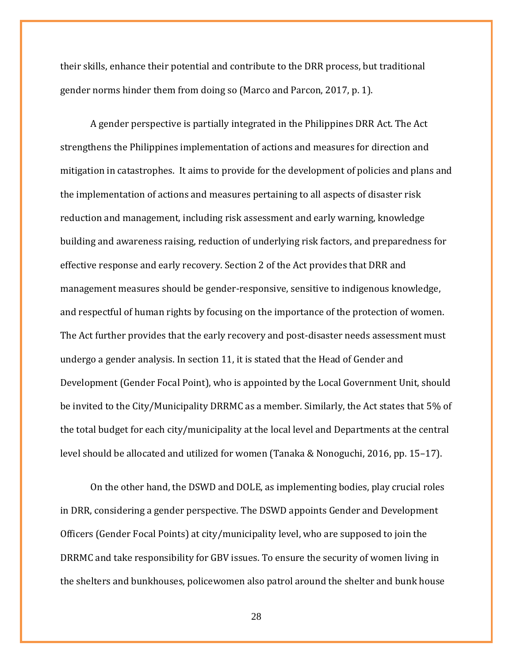their skills, enhance their potential and contribute to the DRR process, but traditional gender norms hinder them from doing so (Marco and Parcon, 2017, p. 1).

A gender perspective is partially integrated in the Philippines DRR Act. The Act strengthens the Philippines implementation of actions and measures for direction and mitigation in catastrophes. It aims to provide for the development of policies and plans and the implementation of actions and measures pertaining to all aspects of disaster risk reduction and management, including risk assessment and early warning, knowledge building and awareness raising, reduction of underlying risk factors, and preparedness for effective response and early recovery. Section 2 of the Act provides that DRR and management measures should be gender-responsive, sensitive to indigenous knowledge, and respectful of human rights by focusing on the importance of the protection of women. The Act further provides that the early recovery and post-disaster needs assessment must undergo a gender analysis. In section 11, it is stated that the Head of Gender and Development (Gender Focal Point), who is appointed by the Local Government Unit, should be invited to the City/Municipality DRRMC as a member. Similarly, the Act states that 5% of the total budget for each city/municipality at the local level and Departments at the central level should be allocated and utilized for women (Tanaka & Nonoguchi, 2016, pp. 15–17).

On the other hand, the DSWD and DOLE, as implementing bodies, play crucial roles in DRR, considering a gender perspective. The DSWD appoints Gender and Development Officers (Gender Focal Points) at city/municipality level, who are supposed to join the DRRMC and take responsibility for GBV issues. To ensure the security of women living in the shelters and bunkhouses, policewomen also patrol around the shelter and bunk house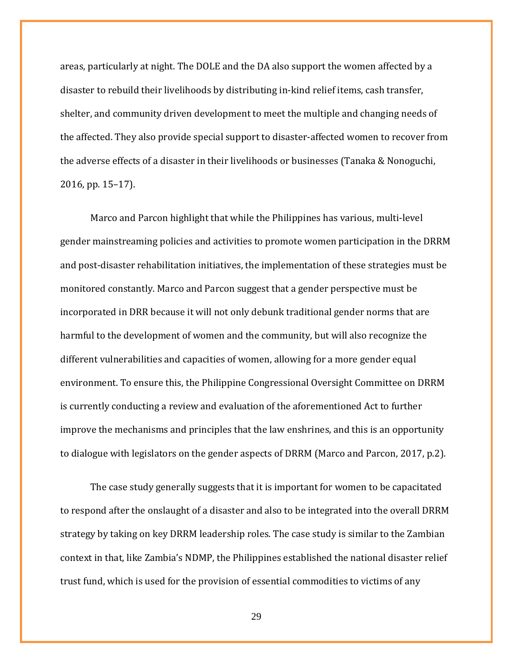areas, particularly at night. The DOLE and the DA also support the women affected by a disaster to rebuild their livelihoods by distributing in-kind relief items, cash transfer, shelter, and community driven development to meet the multiple and changing needs of the affected. They also provide special support to disaster-affected women to recover from the adverse effects of a disaster in their livelihoods or businesses (Tanaka & Nonoguchi, 2016, pp. 15–17).

Marco and Parcon highlight that while the Philippines has various, multi-level gender mainstreaming policies and activities to promote women participation in the DRRM and post-disaster rehabilitation initiatives, the implementation of these strategies must be monitored constantly. Marco and Parcon suggest that a gender perspective must be incorporated in DRR because it will not only debunk traditional gender norms that are harmful to the development of women and the community, but will also recognize the different vulnerabilities and capacities of women, allowing for a more gender equal environment. To ensure this, the Philippine Congressional Oversight Committee on DRRM is currently conducting a review and evaluation of the aforementioned Act to further improve the mechanisms and principles that the law enshrines, and this is an opportunity to dialogue with legislators on the gender aspects of DRRM (Marco and Parcon, 2017, p.2).

The case study generally suggests that it is important for women to be capacitated to respond after the onslaught of a disaster and also to be integrated into the overall DRRM strategy by taking on key DRRM leadership roles. The case study is similar to the Zambian context in that, like Zambia's NDMP, the Philippines established the national disaster relief trust fund, which is used for the provision of essential commodities to victims of any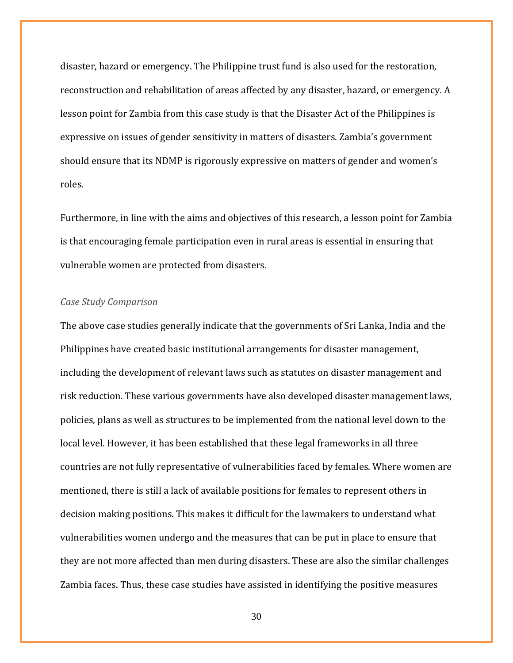disaster, hazard or emergency. The Philippine trust fund is also used for the restoration, reconstruction and rehabilitation of areas affected by any disaster, hazard, or emergency. A lesson point for Zambia from this case study is that the Disaster Act of the Philippines is expressive on issues of gender sensitivity in matters of disasters. Zambia's government should ensure that its NDMP is rigorously expressive on matters of gender and women's roles.

Furthermore, in line with the aims and objectives of this research, a lesson point for Zambia is that encouraging female participation even in rural areas is essential in ensuring that vulnerable women are protected from disasters.

### <span id="page-29-0"></span>*Case Study Comparison*

The above case studies generally indicate that the governments of Sri Lanka, India and the Philippines have created basic institutional arrangements for disaster management, including the development of relevant laws such as statutes on disaster management and risk reduction. These various governments have also developed disaster management laws, policies, plans as well as structures to be implemented from the national level down to the local level. However, it has been established that these legal frameworks in all three countries are not fully representative of vulnerabilities faced by females. Where women are mentioned, there is still a lack of available positions for females to represent others in decision making positions. This makes it difficult for the lawmakers to understand what vulnerabilities women undergo and the measures that can be put in place to ensure that they are not more affected than men during disasters. These are also the similar challenges Zambia faces. Thus, these case studies have assisted in identifying the positive measures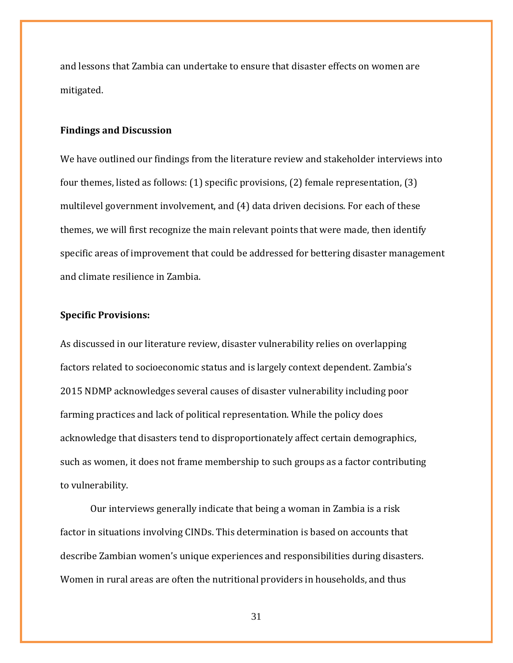and lessons that Zambia can undertake to ensure that disaster effects on women are mitigated.

#### <span id="page-30-0"></span>**Findings and Discussion**

We have outlined our findings from the literature review and stakeholder interviews into four themes, listed as follows: (1) specific provisions, (2) female representation, (3) multilevel government involvement, and (4) data driven decisions. For each of these themes, we will first recognize the main relevant points that were made, then identify specific areas of improvement that could be addressed for bettering disaster management and climate resilience in Zambia.

## <span id="page-30-1"></span>**Specific Provisions:**

As discussed in our literature review, disaster vulnerability relies on overlapping factors related to socioeconomic status and is largely context dependent. Zambia's 2015 NDMP acknowledges several causes of disaster vulnerability including poor farming practices and lack of political representation. While the policy does acknowledge that disasters tend to disproportionately affect certain demographics, such as women, it does not frame membership to such groups as a factor contributing to vulnerability.

Our interviews generally indicate that being a woman in Zambia is a risk factor in situations involving CINDs. This determination is based on accounts that describe Zambian women's unique experiences and responsibilities during disasters. Women in rural areas are often the nutritional providers in households, and thus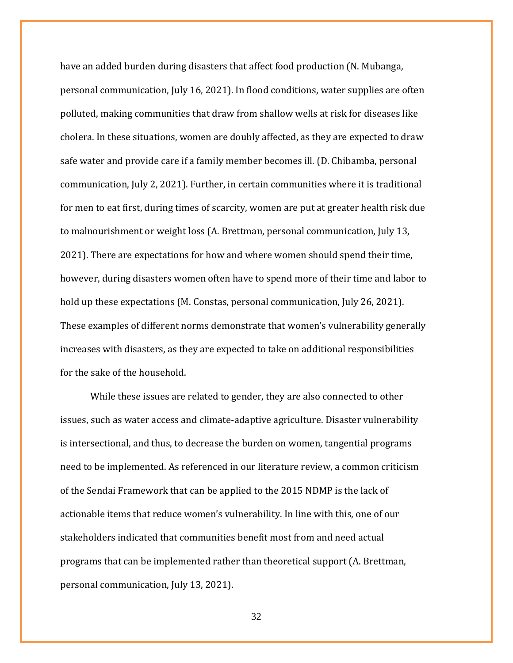have an added burden during disasters that affect food production (N. Mubanga, personal communication, July 16, 2021). In flood conditions, water supplies are often polluted, making communities that draw from shallow wells at risk for diseases like cholera. In these situations, women are doubly affected, as they are expected to draw safe water and provide care if a family member becomes ill. (D. Chibamba, personal communication, July 2, 2021). Further, in certain communities where it is traditional for men to eat first, during times of scarcity, women are put at greater health risk due to malnourishment or weight loss (A. Brettman, personal communication, July 13, 2021). There are expectations for how and where women should spend their time, however, during disasters women often have to spend more of their time and labor to hold up these expectations (M. Constas, personal communication, July 26, 2021). These examples of different norms demonstrate that women's vulnerability generally increases with disasters, as they are expected to take on additional responsibilities for the sake of the household.

While these issues are related to gender, they are also connected to other issues, such as water access and climate-adaptive agriculture. Disaster vulnerability is intersectional, and thus, to decrease the burden on women, tangential programs need to be implemented. As referenced in our literature review, a common criticism of the Sendai Framework that can be applied to the 2015 NDMP is the lack of actionable items that reduce women's vulnerability. In line with this, one of our stakeholders indicated that communities benefit most from and need actual programs that can be implemented rather than theoretical support (A. Brettman, personal communication, July 13, 2021).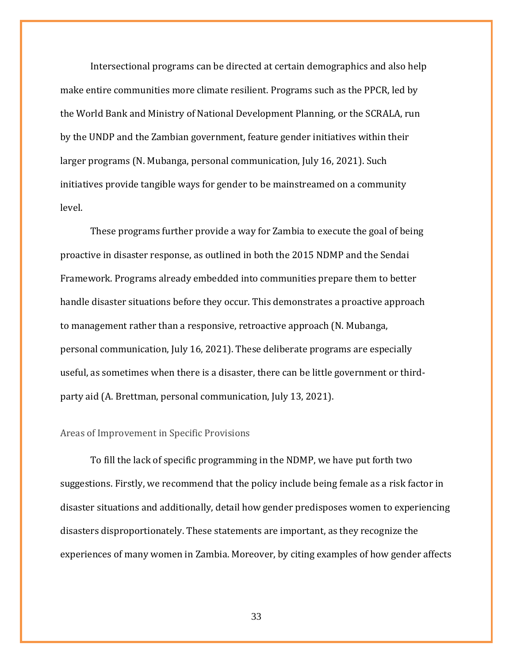Intersectional programs can be directed at certain demographics and also help make entire communities more climate resilient. Programs such as the PPCR, led by the World Bank and Ministry of National Development Planning, or the SCRALA, run by the UNDP and the Zambian government, feature gender initiatives within their larger programs (N. Mubanga, personal communication, July 16, 2021). Such initiatives provide tangible ways for gender to be mainstreamed on a community level.

These programs further provide a way for Zambia to execute the goal of being proactive in disaster response, as outlined in both the 2015 NDMP and the Sendai Framework. Programs already embedded into communities prepare them to better handle disaster situations before they occur. This demonstrates a proactive approach to management rather than a responsive, retroactive approach (N. Mubanga, personal communication, July 16, 2021). These deliberate programs are especially useful, as sometimes when there is a disaster, there can be little government or thirdparty aid (A. Brettman, personal communication, July 13, 2021).

#### <span id="page-32-0"></span>Areas of Improvement in Specific Provisions

To fill the lack of specific programming in the NDMP, we have put forth two suggestions. Firstly, we recommend that the policy include being female as a risk factor in disaster situations and additionally, detail how gender predisposes women to experiencing disasters disproportionately. These statements are important, as they recognize the experiences of many women in Zambia. Moreover, by citing examples of how gender affects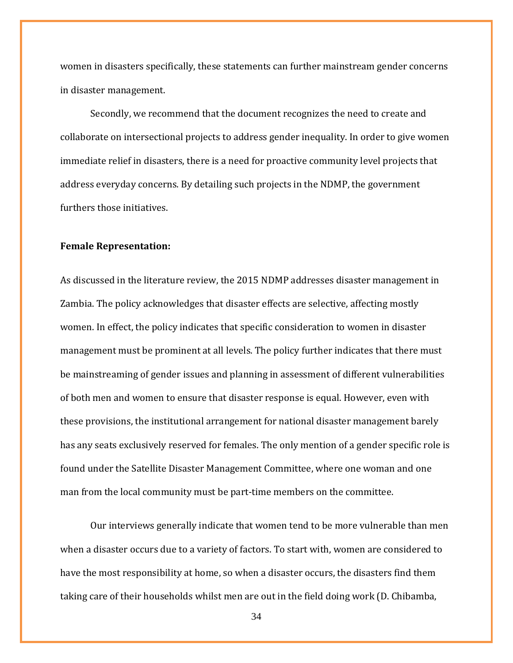women in disasters specifically, these statements can further mainstream gender concerns in disaster management.

Secondly, we recommend that the document recognizes the need to create and collaborate on intersectional projects to address gender inequality. In order to give women immediate relief in disasters, there is a need for proactive community level projects that address everyday concerns. By detailing such projects in the NDMP, the government furthers those initiatives.

#### <span id="page-33-0"></span>**Female Representation:**

As discussed in the literature review, the 2015 NDMP addresses disaster management in Zambia. The policy acknowledges that disaster effects are selective, affecting mostly women. In effect, the policy indicates that specific consideration to women in disaster management must be prominent at all levels. The policy further indicates that there must be mainstreaming of gender issues and planning in assessment of different vulnerabilities of both men and women to ensure that disaster response is equal. However, even with these provisions, the institutional arrangement for national disaster management barely has any seats exclusively reserved for females. The only mention of a gender specific role is found under the Satellite Disaster Management Committee, where one woman and one man from the local community must be part-time members on the committee.

Our interviews generally indicate that women tend to be more vulnerable than men when a disaster occurs due to a variety of factors. To start with, women are considered to have the most responsibility at home, so when a disaster occurs, the disasters find them taking care of their households whilst men are out in the field doing work (D. Chibamba,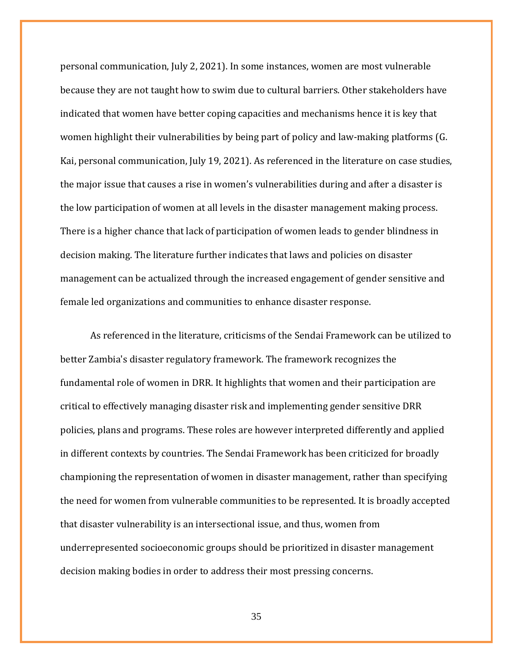personal communication, July 2, 2021). In some instances, women are most vulnerable because they are not taught how to swim due to cultural barriers. Other stakeholders have indicated that women have better coping capacities and mechanisms hence it is key that women highlight their vulnerabilities by being part of policy and law-making platforms (G. Kai, personal communication, July 19, 2021). As referenced in the literature on case studies, the major issue that causes a rise in women's vulnerabilities during and after a disaster is the low participation of women at all levels in the disaster management making process. There is a higher chance that lack of participation of women leads to gender blindness in decision making. The literature further indicates that laws and policies on disaster management can be actualized through the increased engagement of gender sensitive and female led organizations and communities to enhance disaster response.

As referenced in the literature, criticisms of the Sendai Framework can be utilized to better Zambia's disaster regulatory framework. The framework recognizes the fundamental role of women in DRR. It highlights that women and their participation are critical to effectively managing disaster risk and implementing gender sensitive DRR policies, plans and programs. These roles are however interpreted differently and applied in different contexts by countries. The Sendai Framework has been criticized for broadly championing the representation of women in disaster management, rather than specifying the need for women from vulnerable communities to be represented. It is broadly accepted that disaster vulnerability is an intersectional issue, and thus, women from underrepresented socioeconomic groups should be prioritized in disaster management decision making bodies in order to address their most pressing concerns.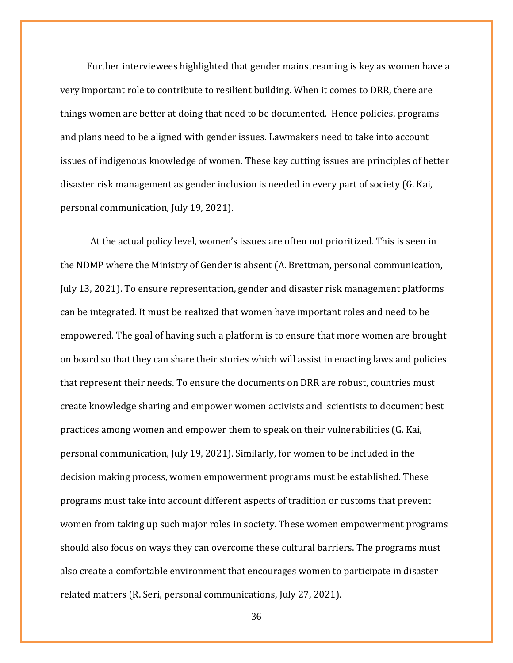Further interviewees highlighted that gender mainstreaming is key as women have a very important role to contribute to resilient building. When it comes to DRR, there are things women are better at doing that need to be documented. Hence policies, programs and plans need to be aligned with gender issues. Lawmakers need to take into account issues of indigenous knowledge of women. These key cutting issues are principles of better disaster risk management as gender inclusion is needed in every part of society (G. Kai, personal communication, July 19, 2021).

At the actual policy level, women's issues are often not prioritized. This is seen in the NDMP where the Ministry of Gender is absent (A. Brettman, personal communication, July 13, 2021). To ensure representation, gender and disaster risk management platforms can be integrated. It must be realized that women have important roles and need to be empowered. The goal of having such a platform is to ensure that more women are brought on board so that they can share their stories which will assist in enacting laws and policies that represent their needs. To ensure the documents on DRR are robust, countries must create knowledge sharing and empower women activists and scientists to document best practices among women and empower them to speak on their vulnerabilities (G. Kai, personal communication, July 19, 2021). Similarly, for women to be included in the decision making process, women empowerment programs must be established. These programs must take into account different aspects of tradition or customs that prevent women from taking up such major roles in society. These women empowerment programs should also focus on ways they can overcome these cultural barriers. The programs must also create a comfortable environment that encourages women to participate in disaster related matters (R. Seri, personal communications, July 27, 2021).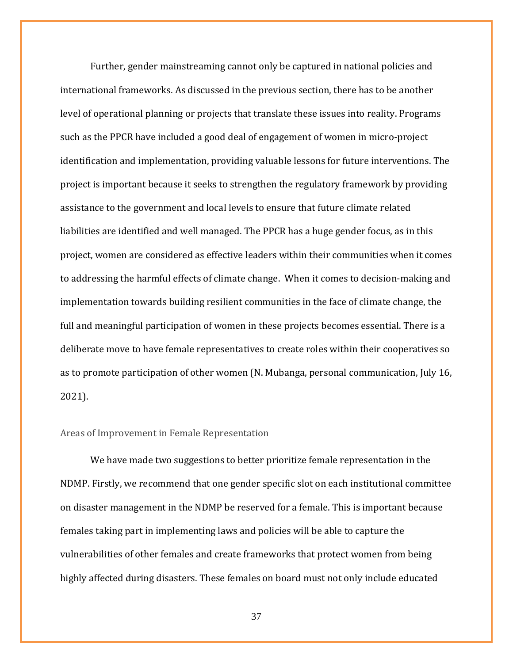Further, gender mainstreaming cannot only be captured in national policies and international frameworks. As discussed in the previous section, there has to be another level of operational planning or projects that translate these issues into reality. Programs such as the PPCR have included a good deal of engagement of women in micro-project identification and implementation, providing valuable lessons for future interventions. The project is important because it seeks to strengthen the regulatory framework by providing assistance to the government and local levels to ensure that future climate related liabilities are identified and well managed. The PPCR has a huge gender focus, as in this project, women are considered as effective leaders within their communities when it comes to addressing the harmful effects of climate change. When it comes to decision-making and implementation towards building resilient communities in the face of climate change, the full and meaningful participation of women in these projects becomes essential. There is a deliberate move to have female representatives to create roles within their cooperatives so as to promote participation of other women (N. Mubanga, personal communication, July 16, 2021).

### <span id="page-36-0"></span>Areas of Improvement in Female Representation

We have made two suggestions to better prioritize female representation in the NDMP. Firstly, we recommend that one gender specific slot on each institutional committee on disaster management in the NDMP be reserved for a female. This is important because females taking part in implementing laws and policies will be able to capture the vulnerabilities of other females and create frameworks that protect women from being highly affected during disasters. These females on board must not only include educated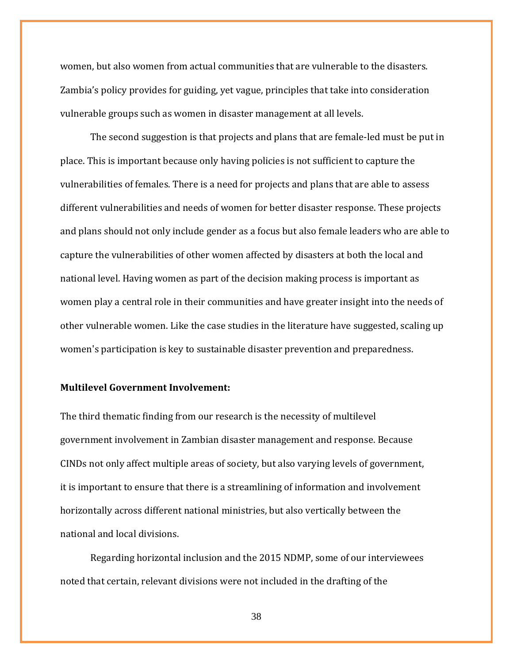women, but also women from actual communities that are vulnerable to the disasters. Zambia's policy provides for guiding, yet vague, principles that take into consideration vulnerable groups such as women in disaster management at all levels.

The second suggestion is that projects and plans that are female-led must be put in place. This is important because only having policies is not sufficient to capture the vulnerabilities of females. There is a need for projects and plans that are able to assess different vulnerabilities and needs of women for better disaster response. These projects and plans should not only include gender as a focus but also female leaders who are able to capture the vulnerabilities of other women affected by disasters at both the local and national level. Having women as part of the decision making process is important as women play a central role in their communities and have greater insight into the needs of other vulnerable women. Like the case studies in the literature have suggested, scaling up women's participation is key to sustainable disaster prevention and preparedness.

## <span id="page-37-0"></span>**Multilevel Government Involvement:**

The third thematic finding from our research is the necessity of multilevel government involvement in Zambian disaster management and response. Because CINDs not only affect multiple areas of society, but also varying levels of government, it is important to ensure that there is a streamlining of information and involvement horizontally across different national ministries, but also vertically between the national and local divisions.

Regarding horizontal inclusion and the 2015 NDMP, some of our interviewees noted that certain, relevant divisions were not included in the drafting of the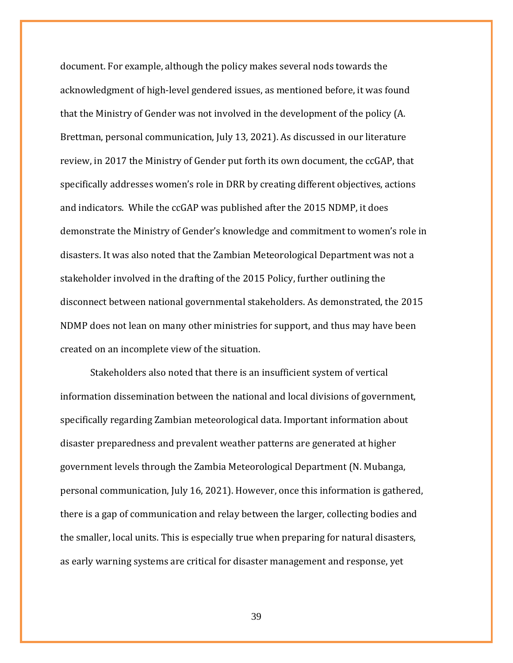document. For example, although the policy makes several nods towards the acknowledgment of high-level gendered issues, as mentioned before, it was found that the Ministry of Gender was not involved in the development of the policy (A. Brettman, personal communication, July 13, 2021). As discussed in our literature review, in 2017 the Ministry of Gender put forth its own document, the ccGAP, that specifically addresses women's role in DRR by creating different objectives, actions and indicators. While the ccGAP was published after the 2015 NDMP, it does demonstrate the Ministry of Gender's knowledge and commitment to women's role in disasters. It was also noted that the Zambian Meteorological Department was not a stakeholder involved in the drafting of the 2015 Policy, further outlining the disconnect between national governmental stakeholders. As demonstrated, the 2015 NDMP does not lean on many other ministries for support, and thus may have been created on an incomplete view of the situation.

Stakeholders also noted that there is an insufficient system of vertical information dissemination between the national and local divisions of government, specifically regarding Zambian meteorological data. Important information about disaster preparedness and prevalent weather patterns are generated at higher government levels through the Zambia Meteorological Department (N. Mubanga, personal communication, July 16, 2021). However, once this information is gathered, there is a gap of communication and relay between the larger, collecting bodies and the smaller, local units. This is especially true when preparing for natural disasters, as early warning systems are critical for disaster management and response, yet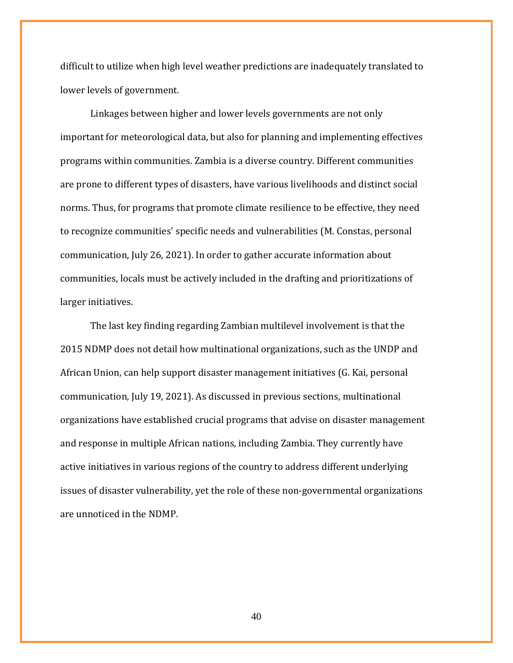difficult to utilize when high level weather predictions are inadequately translated to lower levels of government.

Linkages between higher and lower levels governments are not only important for meteorological data, but also for planning and implementing effectives programs within communities. Zambia is a diverse country. Different communities are prone to different types of disasters, have various livelihoods and distinct social norms. Thus, for programs that promote climate resilience to be effective, they need to recognize communities' specific needs and vulnerabilities (M. Constas, personal communication, July 26, 2021). In order to gather accurate information about communities, locals must be actively included in the drafting and prioritizations of larger initiatives.

The last key finding regarding Zambian multilevel involvement is that the 2015 NDMP does not detail how multinational organizations, such as the UNDP and African Union, can help support disaster management initiatives (G. Kai, personal communication, July 19, 2021). As discussed in previous sections, multinational organizations have established crucial programs that advise on disaster management and response in multiple African nations, including Zambia. They currently have active initiatives in various regions of the country to address different underlying issues of disaster vulnerability, yet the role of these non-governmental organizations are unnoticed in the NDMP.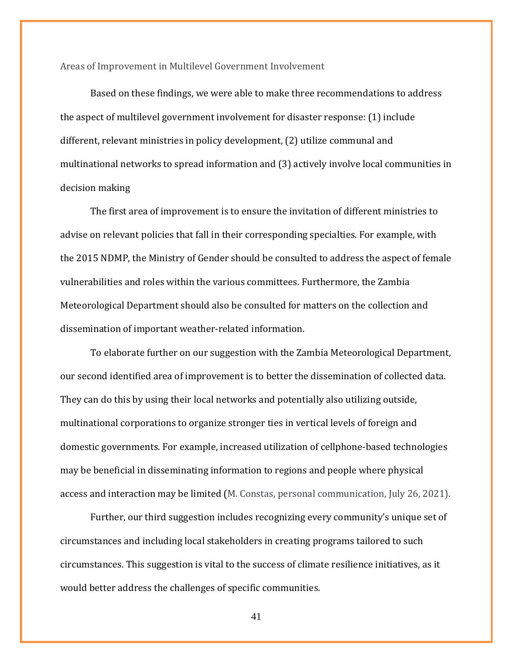<span id="page-40-0"></span>Areas of Improvement in Multilevel Government Involvement

Based on these findings, we were able to make three recommendations to address the aspect of multilevel government involvement for disaster response: (1) include different, relevant ministries in policy development, (2) utilize communal and multinational networks to spread information and (3) actively involve local communities in decision making

The first area of improvement is to ensure the invitation of different ministries to advise on relevant policies that fall in their corresponding specialties. For example, with the 2015 NDMP, the Ministry of Gender should be consulted to address the aspect of female vulnerabilities and roles within the various committees. Furthermore, the Zambia Meteorological Department should also be consulted for matters on the collection and dissemination of important weather-related information.

To elaborate further on our suggestion with the Zambia Meteorological Department, our second identified area of improvement is to better the dissemination of collected data. They can do this by using their local networks and potentially also utilizing outside, multinational corporations to organize stronger ties in vertical levels of foreign and domestic governments. For example, increased utilization of cellphone-based technologies may be beneficial in disseminating information to regions and people where physical access and interaction may be limited (M. Constas, personal communication, July 26, 2021).

Further, our third suggestion includes recognizing every community's unique set of circumstances and including local stakeholders in creating programs tailored to such circumstances. This suggestion is vital to the success of climate resilience initiatives, as it would better address the challenges of specific communities.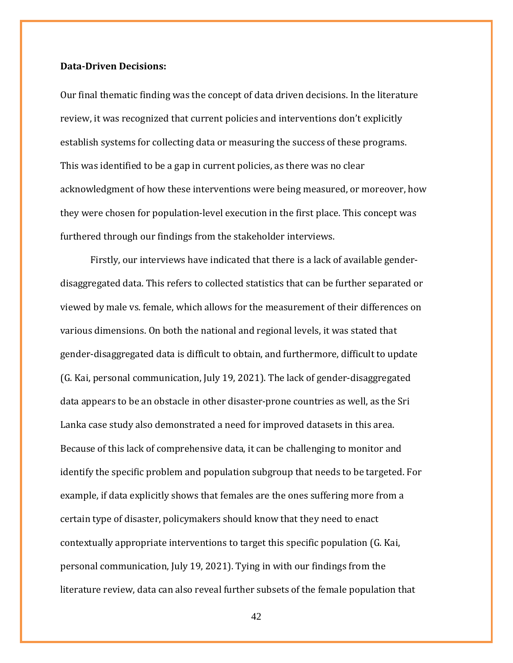#### <span id="page-41-0"></span>**Data-Driven Decisions:**

Our final thematic finding was the concept of data driven decisions. In the literature review, it was recognized that current policies and interventions don't explicitly establish systems for collecting data or measuring the success of these programs. This was identified to be a gap in current policies, as there was no clear acknowledgment of how these interventions were being measured, or moreover, how they were chosen for population-level execution in the first place. This concept was furthered through our findings from the stakeholder interviews.

Firstly, our interviews have indicated that there is a lack of available genderdisaggregated data. This refers to collected statistics that can be further separated or viewed by male vs. female, which allows for the measurement of their differences on various dimensions. On both the national and regional levels, it was stated that gender-disaggregated data is difficult to obtain, and furthermore, difficult to update (G. Kai, personal communication, July 19, 2021). The lack of gender-disaggregated data appears to be an obstacle in other disaster-prone countries as well, as the Sri Lanka case study also demonstrated a need for improved datasets in this area. Because of this lack of comprehensive data, it can be challenging to monitor and identify the specific problem and population subgroup that needs to be targeted. For example, if data explicitly shows that females are the ones suffering more from a certain type of disaster, policymakers should know that they need to enact contextually appropriate interventions to target this specific population (G. Kai, personal communication, July 19, 2021). Tying in with our findings from the literature review, data can also reveal further subsets of the female population that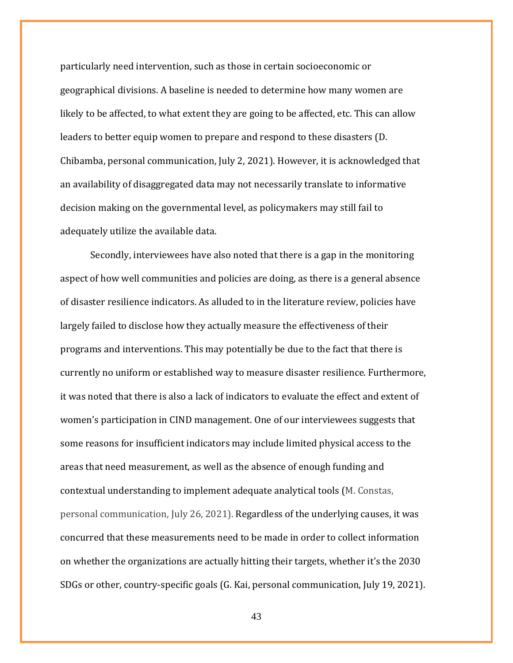particularly need intervention, such as those in certain socioeconomic or geographical divisions. A baseline is needed to determine how many women are likely to be affected, to what extent they are going to be affected, etc. This can allow leaders to better equip women to prepare and respond to these disasters (D. Chibamba, personal communication, July 2, 2021). However, it is acknowledged that an availability of disaggregated data may not necessarily translate to informative decision making on the governmental level, as policymakers may still fail to adequately utilize the available data.

Secondly, interviewees have also noted that there is a gap in the monitoring aspect of how well communities and policies are doing, as there is a general absence of disaster resilience indicators. As alluded to in the literature review, policies have largely failed to disclose how they actually measure the effectiveness of their programs and interventions. This may potentially be due to the fact that there is currently no uniform or established way to measure disaster resilience. Furthermore, it was noted that there is also a lack of indicators to evaluate the effect and extent of women's participation in CIND management. One of our interviewees suggests that some reasons for insufficient indicators may include limited physical access to the areas that need measurement, as well as the absence of enough funding and contextual understanding to implement adequate analytical tools (M. Constas, personal communication, July 26, 2021). Regardless of the underlying causes, it was concurred that these measurements need to be made in order to collect information on whether the organizations are actually hitting their targets, whether it's the 2030 SDGs or other, country-specific goals (G. Kai, personal communication, July 19, 2021).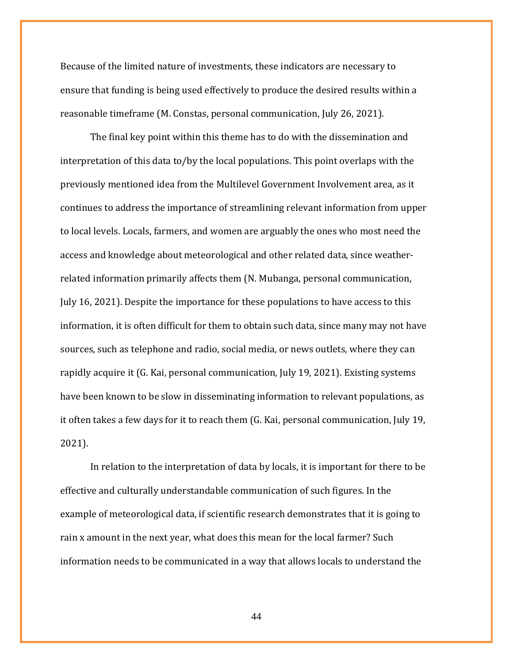Because of the limited nature of investments, these indicators are necessary to ensure that funding is being used effectively to produce the desired results within a reasonable timeframe (M. Constas, personal communication, July 26, 2021).

The final key point within this theme has to do with the dissemination and interpretation of this data to/by the local populations. This point overlaps with the previously mentioned idea from the Multilevel Government Involvement area, as it continues to address the importance of streamlining relevant information from upper to local levels. Locals, farmers, and women are arguably the ones who most need the access and knowledge about meteorological and other related data, since weatherrelated information primarily affects them (N. Mubanga, personal communication, July 16, 2021). Despite the importance for these populations to have access to this information, it is often difficult for them to obtain such data, since many may not have sources, such as telephone and radio, social media, or news outlets, where they can rapidly acquire it (G. Kai, personal communication, July 19, 2021). Existing systems have been known to be slow in disseminating information to relevant populations, as it often takes a few days for it to reach them (G. Kai, personal communication, July 19, 2021).

In relation to the interpretation of data by locals, it is important for there to be effective and culturally understandable communication of such figures. In the example of meteorological data, if scientific research demonstrates that it is going to rain x amount in the next year, what does this mean for the local farmer? Such information needs to be communicated in a way that allows locals to understand the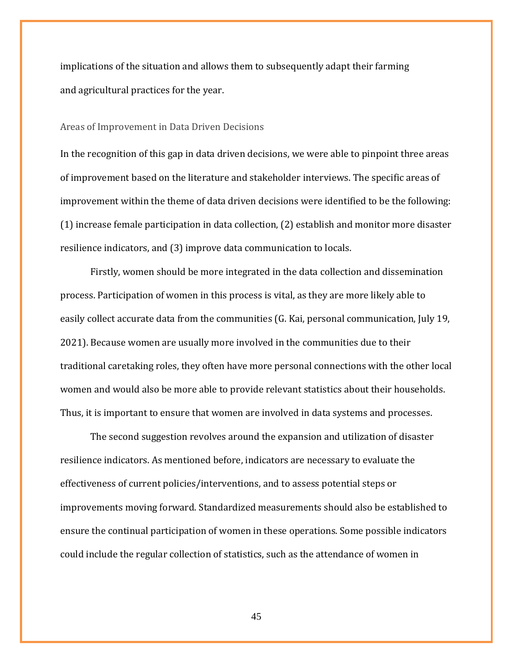implications of the situation and allows them to subsequently adapt their farming and agricultural practices for the year.

#### <span id="page-44-0"></span>Areas of Improvement in Data Driven Decisions

In the recognition of this gap in data driven decisions, we were able to pinpoint three areas of improvement based on the literature and stakeholder interviews. The specific areas of improvement within the theme of data driven decisions were identified to be the following: (1) increase female participation in data collection, (2) establish and monitor more disaster resilience indicators, and (3) improve data communication to locals.

Firstly, women should be more integrated in the data collection and dissemination process. Participation of women in this process is vital, as they are more likely able to easily collect accurate data from the communities (G. Kai, personal communication, July 19, 2021). Because women are usually more involved in the communities due to their traditional caretaking roles, they often have more personal connections with the other local women and would also be more able to provide relevant statistics about their households. Thus, it is important to ensure that women are involved in data systems and processes.

The second suggestion revolves around the expansion and utilization of disaster resilience indicators. As mentioned before, indicators are necessary to evaluate the effectiveness of current policies/interventions, and to assess potential steps or improvements moving forward. Standardized measurements should also be established to ensure the continual participation of women in these operations. Some possible indicators could include the regular collection of statistics, such as the attendance of women in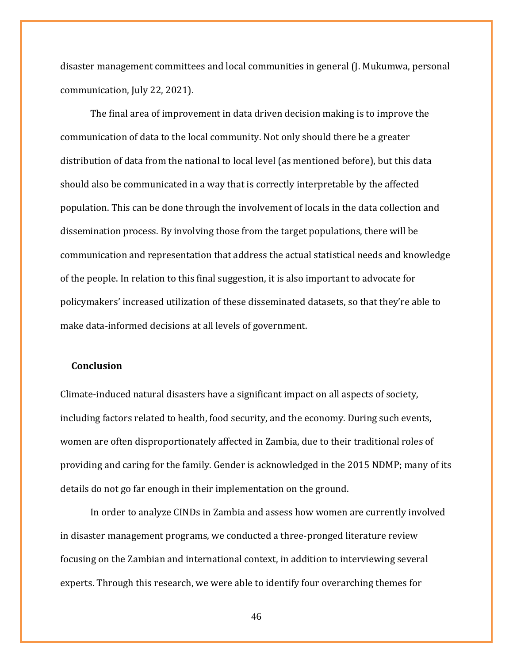disaster management committees and local communities in general (J. Mukumwa, personal communication, July 22, 2021).

The final area of improvement in data driven decision making is to improve the communication of data to the local community. Not only should there be a greater distribution of data from the national to local level (as mentioned before), but this data should also be communicated in a way that is correctly interpretable by the affected population. This can be done through the involvement of locals in the data collection and dissemination process. By involving those from the target populations, there will be communication and representation that address the actual statistical needs and knowledge of the people. In relation to this final suggestion, it is also important to advocate for policymakers' increased utilization of these disseminated datasets, so that they're able to make data-informed decisions at all levels of government.

## <span id="page-45-0"></span> **Conclusion**

Climate-induced natural disasters have a significant impact on all aspects of society, including factors related to health, food security, and the economy. During such events, women are often disproportionately affected in Zambia, due to their traditional roles of providing and caring for the family. Gender is acknowledged in the 2015 NDMP; many of its details do not go far enough in their implementation on the ground.

In order to analyze CINDs in Zambia and assess how women are currently involved in disaster management programs, we conducted a three-pronged literature review focusing on the Zambian and international context, in addition to interviewing several experts. Through this research, we were able to identify four overarching themes for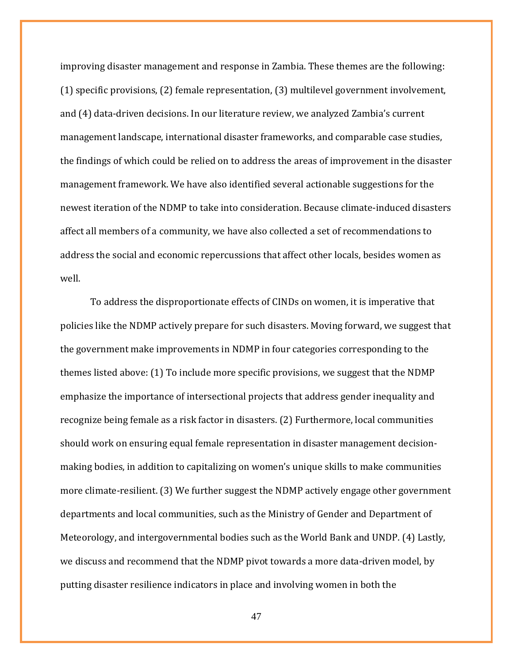improving disaster management and response in Zambia. These themes are the following: (1) specific provisions, (2) female representation, (3) multilevel government involvement, and (4) data-driven decisions. In our literature review, we analyzed Zambia's current management landscape, international disaster frameworks, and comparable case studies, the findings of which could be relied on to address the areas of improvement in the disaster management framework. We have also identified several actionable suggestions for the newest iteration of the NDMP to take into consideration. Because climate-induced disasters affect all members of a community, we have also collected a set of recommendations to address the social and economic repercussions that affect other locals, besides women as well.

To address the disproportionate effects of CINDs on women, it is imperative that policies like the NDMP actively prepare for such disasters. Moving forward, we suggest that the government make improvements in NDMP in four categories corresponding to the themes listed above: (1) To include more specific provisions, we suggest that the NDMP emphasize the importance of intersectional projects that address gender inequality and recognize being female as a risk factor in disasters. (2) Furthermore, local communities should work on ensuring equal female representation in disaster management decisionmaking bodies, in addition to capitalizing on women's unique skills to make communities more climate-resilient. (3) We further suggest the NDMP actively engage other government departments and local communities, such as the Ministry of Gender and Department of Meteorology, and intergovernmental bodies such as the World Bank and UNDP. (4) Lastly, we discuss and recommend that the NDMP pivot towards a more data-driven model, by putting disaster resilience indicators in place and involving women in both the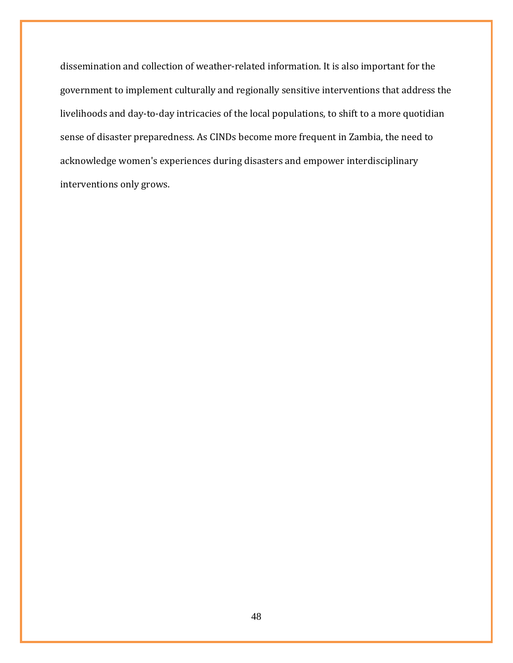dissemination and collection of weather-related information. It is also important for the government to implement culturally and regionally sensitive interventions that address the livelihoods and day-to-day intricacies of the local populations, to shift to a more quotidian sense of disaster preparedness. As CINDs become more frequent in Zambia, the need to acknowledge women's experiences during disasters and empower interdisciplinary interventions only grows.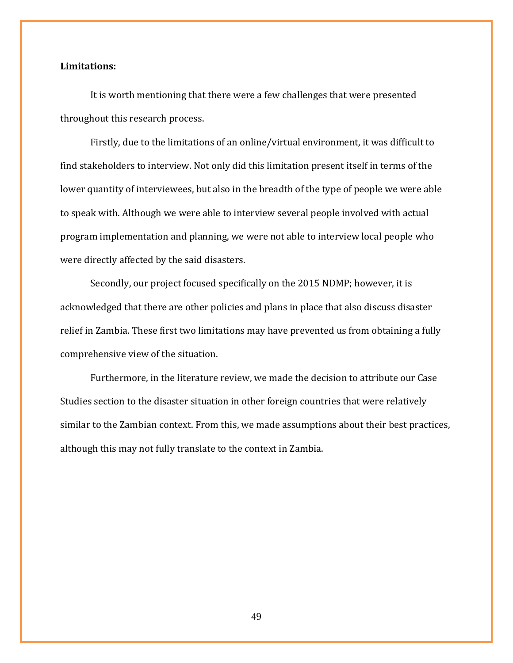## <span id="page-48-0"></span>**Limitations:**

It is worth mentioning that there were a few challenges that were presented throughout this research process.

Firstly, due to the limitations of an online/virtual environment, it was difficult to find stakeholders to interview. Not only did this limitation present itself in terms of the lower quantity of interviewees, but also in the breadth of the type of people we were able to speak with. Although we were able to interview several people involved with actual program implementation and planning, we were not able to interview local people who were directly affected by the said disasters.

Secondly, our project focused specifically on the 2015 NDMP; however, it is acknowledged that there are other policies and plans in place that also discuss disaster relief in Zambia. These first two limitations may have prevented us from obtaining a fully comprehensive view of the situation.

Furthermore, in the literature review, we made the decision to attribute our Case Studies section to the disaster situation in other foreign countries that were relatively similar to the Zambian context. From this, we made assumptions about their best practices, although this may not fully translate to the context in Zambia.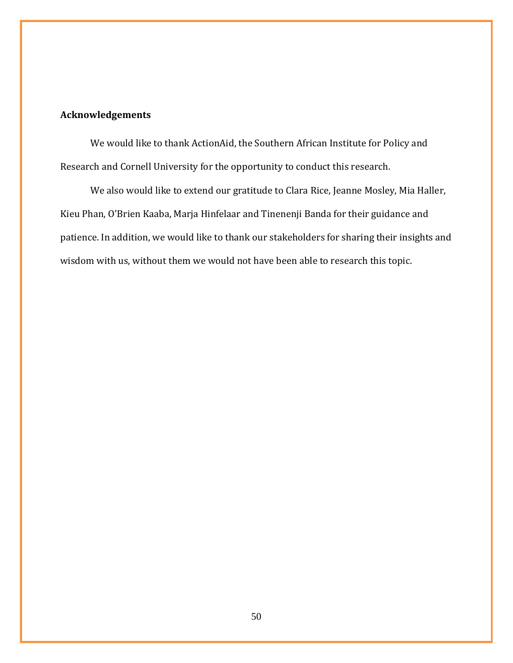# <span id="page-49-0"></span>**Acknowledgements**

We would like to thank ActionAid, the Southern African Institute for Policy and Research and Cornell University for the opportunity to conduct this research.

We also would like to extend our gratitude to Clara Rice, Jeanne Mosley, Mia Haller, Kieu Phan, O'Brien Kaaba, Marja Hinfelaar and Tinenenji Banda for their guidance and patience. In addition, we would like to thank our stakeholders for sharing their insights and wisdom with us, without them we would not have been able to research this topic.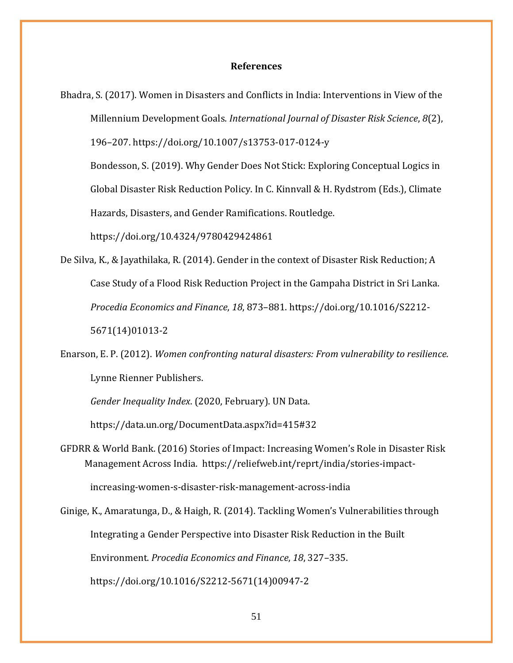#### **References**

<span id="page-50-0"></span>Bhadra, S. (2017). Women in Disasters and Conflicts in India: Interventions in View of the Millennium Development Goals. *International Journal of Disaster Risk Science*, *8*(2), 196–207. https://doi.org/10.1007/s13753-017-0124-y

Bondesson, S. (2019). Why Gender Does Not Stick: Exploring Conceptual Logics in Global Disaster Risk Reduction Policy. In C. Kinnvall & H. Rydstrom (Eds.), Climate Hazards, Disasters, and Gender Ramifications. Routledge.

https://doi.org/10.4324/9780429424861

- De Silva, K., & Jayathilaka, R. (2014). Gender in the context of Disaster Risk Reduction; A Case Study of a Flood Risk Reduction Project in the Gampaha District in Sri Lanka. *Procedia Economics and Finance*, *18*, 873–881. https://doi.org/10.1016/S2212- 5671(14)01013-2
- Enarson, E. P. (2012). *Women confronting natural disasters: From vulnerability to resilience*. Lynne Rienner Publishers.

*Gender Inequality Index*. (2020, February). UN Data.

https://data.un.org/DocumentData.aspx?id=415#32

GFDRR & World Bank. (2016) Stories of Impact: Increasing Women's Role in Disaster Risk Management Across India. https://reliefweb.int/reprt/india/stories-impact-

increasing-women-s-disaster-risk-management-across-india

Ginige, K., Amaratunga, D., & Haigh, R. (2014). Tackling Women's Vulnerabilities through Integrating a Gender Perspective into Disaster Risk Reduction in the Built Environment. *Procedia Economics and Finance*, *18*, 327–335. https://doi.org/10.1016/S2212-5671(14)00947-2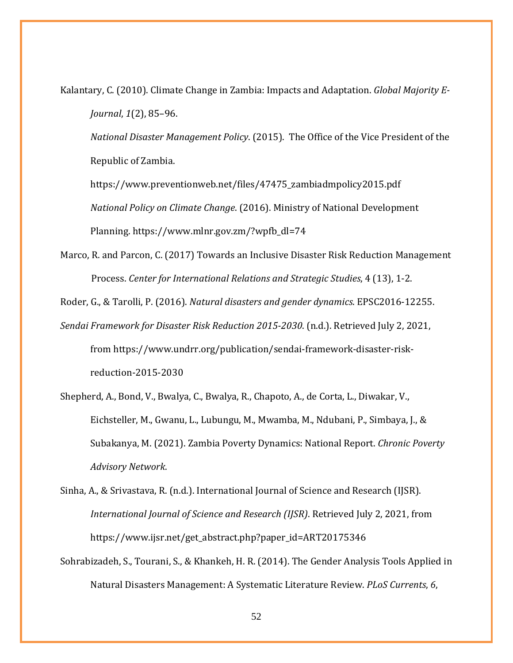Kalantary, C. (2010). Climate Change in Zambia: Impacts and Adaptation. *Global Majority E-Journal*, *1*(2), 85–96.

*National Disaster Management Policy*. (2015). The Office of the Vice President of the Republic of Zambia.

https://www.preventionweb.net/files/47475\_zambiadmpolicy2015.pdf *National Policy on Climate Change*. (2016). Ministry of National Development Planning. https://www.mlnr.gov.zm/?wpfb\_dl=74

Marco, R. and Parcon, C. (2017) Towards an Inclusive Disaster Risk Reduction Management Process. *Center for International Relations and Strategic Studies*, 4 (13), 1-2.

Roder, G., & Tarolli, P. (2016). *Natural disasters and gender dynamics*. EPSC2016-12255.

*Sendai Framework for Disaster Risk Reduction 2015-2030*. (n.d.). Retrieved July 2, 2021, from https://www.undrr.org/publication/sendai-framework-disaster-riskreduction-2015-2030

Shepherd, A., Bond, V., Bwalya, C., Bwalya, R., Chapoto, A., de Corta, L., Diwakar, V., Eichsteller, M., Gwanu, L., Lubungu, M., Mwamba, M., Ndubani, P., Simbaya, J., & Subakanya, M. (2021). Zambia Poverty Dynamics: National Report. *Chronic Poverty Advisory Network*.

Sinha, A., & Srivastava, R. (n.d.). International Journal of Science and Research (IJSR). *International Journal of Science and Research (IJSR)*. Retrieved July 2, 2021, from https://www.ijsr.net/get\_abstract.php?paper\_id=ART20175346

Sohrabizadeh, S., Tourani, S., & Khankeh, H. R. (2014). The Gender Analysis Tools Applied in Natural Disasters Management: A Systematic Literature Review. *PLoS Currents*, *6*,